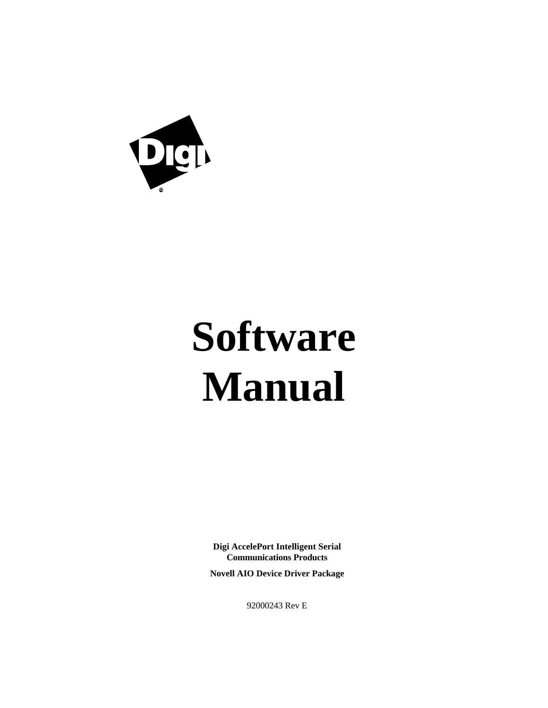

# **Software Manual**

**Digi AccelePort Intelligent Serial Communications Products**

**Novell AIO Device Driver Package**

92000243 Rev E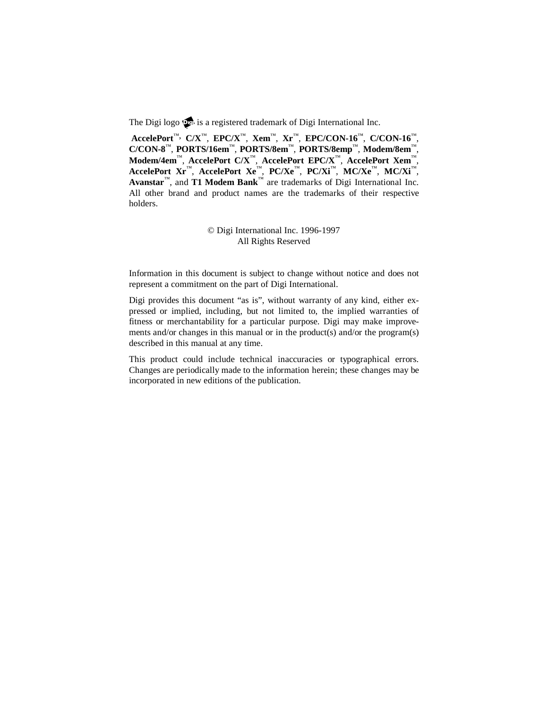The Digi logo  $\mathbf{\Omega}$  is a registered trademark of Digi International Inc.

**AccelePort**™, **C/X**™, **EPC/X**™, **Xem**™, **Xr**™, **EPC/CON-16**™, **C/CON-16**™, **C/CON-8**™, **PORTS/16em**™, **PORTS/8em**™, **PORTS/8emp**™, **Modem/8em**™, **Modem/4em**™, **AccelePort C/X**™, **AccelePort EPC/X**™, **AccelePort Xem**™, **AccelePort Xr**™, **AccelePort Xe**™, **PC/Xe**™, **PC/Xi**™, **MC/Xe**™, **MC/Xi**™, **Avanstar**™, and **T1 Modem Bank**™ are trademarks of Digi International Inc. All other brand and product names are the trademarks of their respective holders.

> © Digi International Inc. 1996-1997 All Rights Reserved

Information in this document is subject to change without notice and does not represent a commitment on the part of Digi International.

Digi provides this document "as is", without warranty of any kind, either expressed or implied, including, but not limited to, the implied warranties of fitness or merchantability for a particular purpose. Digi may make improvements and/or changes in this manual or in the product(s) and/or the program(s) described in this manual at any time.

This product could include technical inaccuracies or typographical errors. Changes are periodically made to the information herein; these changes may be incorporated in new editions of the publication.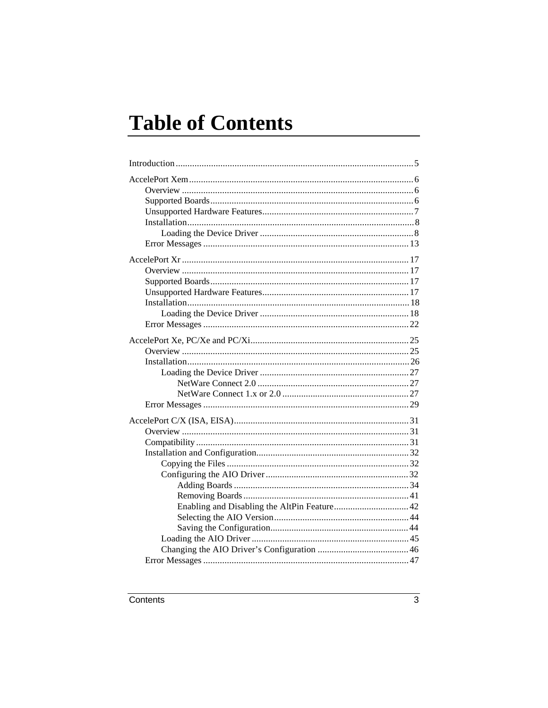# **Table of Contents**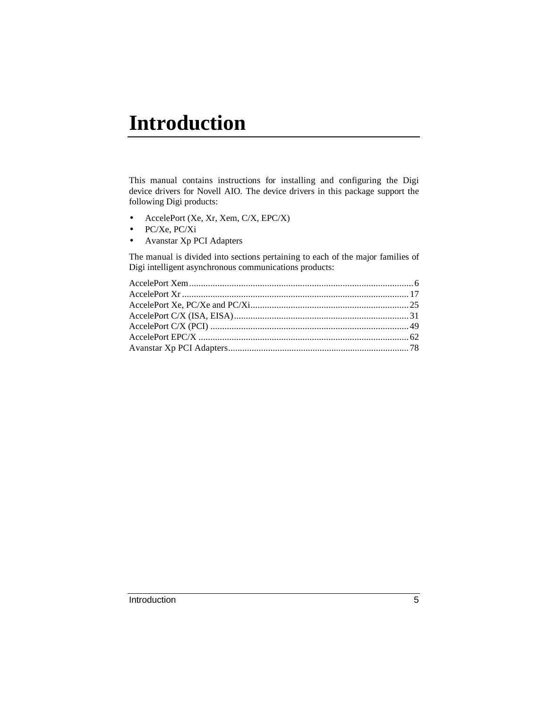# **Introduction**

This manual contains instructions for installing and configuring the Digi device drivers for Novell AIO. The device drivers in this package support the following Digi products:

- AccelePort (Xe, Xr, Xem, C/X, EPC/X)
- PC/Xe, PC/Xi
- Avanstar Xp PCI Adapters

The manual is divided into sections pertaining to each of the major families of Digi intelligent asynchronous communications products: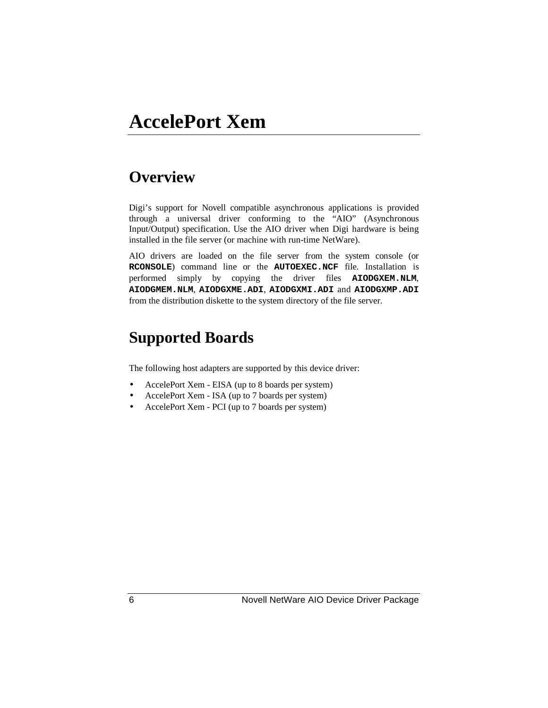## **AccelePort Xem**

### **Overview**

Digi's support for Novell compatible asynchronous applications is provided through a universal driver conforming to the "AIO" (Asynchronous Input/Output) specification. Use the AIO driver when Digi hardware is being installed in the file server (or machine with run-time NetWare).

AIO drivers are loaded on the file server from the system console (or **RCONSOLE**) command line or the **AUTOEXEC.NCF** file. Installation is performed simply by copying the driver files **AIODGXEM.NLM**, **AIODGMEM.NLM**, **AIODGXME.ADI**, **AIODGXMI.ADI** and **AIODGXMP.ADI** from the distribution diskette to the system directory of the file server.

### **Supported Boards**

The following host adapters are supported by this device driver:

- AccelePort Xem EISA (up to 8 boards per system)
- AccelePort Xem ISA (up to 7 boards per system)
- AccelePort Xem PCI (up to 7 boards per system)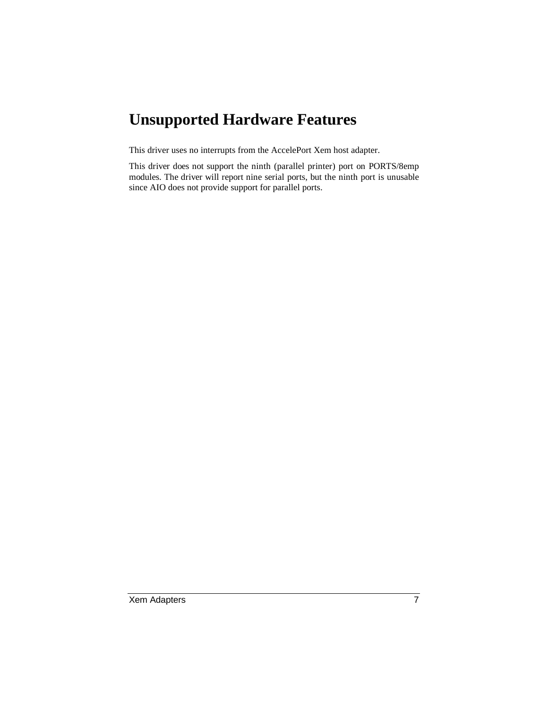### **Unsupported Hardware Features**

This driver uses no interrupts from the AccelePort Xem host adapter.

This driver does not support the ninth (parallel printer) port on PORTS/8emp modules. The driver will report nine serial ports, but the ninth port is unusable since AIO does not provide support for parallel ports.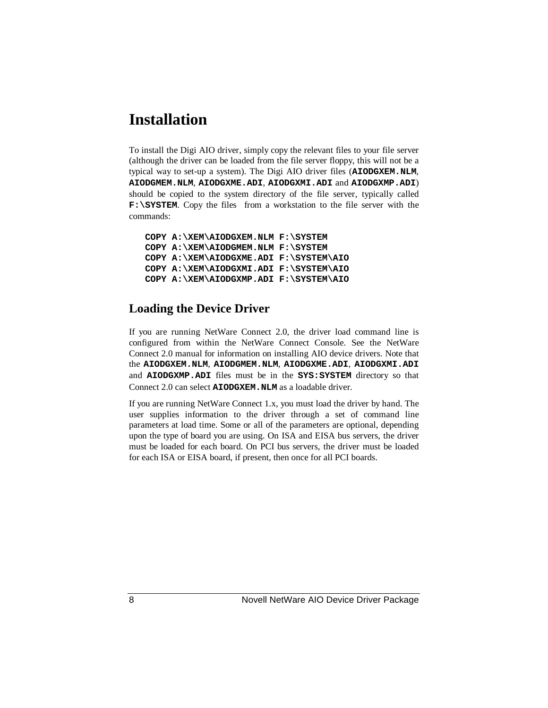### **Installation**

To install the Digi AIO driver, simply copy the relevant files to your file server (although the driver can be loaded from the file server floppy, this will not be a typical way to set-up a system). The Digi AIO driver files (**AIODGXEM.NLM**, **AIODGMEM.NLM**, **AIODGXME.ADI**, **AIODGXMI.ADI** and **AIODGXMP.ADI**) should be copied to the system directory of the file server, typically called **F:\SYSTEM**. Copy the files from a workstation to the file server with the commands:

**COPY A:\XEM\AIODGXEM.NLM F:\SYSTEM COPY A:\XEM\AIODGMEM.NLM F:\SYSTEM COPY A:\XEM\AIODGXME.ADI F:\SYSTEM\AIO COPY A:\XEM\AIODGXMI.ADI F:\SYSTEM\AIO COPY A:\XEM\AIODGXMP.ADI F:\SYSTEM\AIO**

#### **Loading the Device Driver**

If you are running NetWare Connect 2.0, the driver load command line is configured from within the NetWare Connect Console. See the NetWare Connect 2.0 manual for information on installing AIO device drivers. Note that the **AIODGXEM.NLM**, **AIODGMEM.NLM**, **AIODGXME.ADI**, **AIODGXMI.ADI** and **AIODGXMP.ADI** files must be in the **SYS:SYSTEM** directory so that Connect 2.0 can select **AIODGXEM.NLM** as a loadable driver.

If you are running NetWare Connect 1.x, you must load the driver by hand. The user supplies information to the driver through a set of command line parameters at load time. Some or all of the parameters are optional, depending upon the type of board you are using. On ISA and EISA bus servers, the driver must be loaded for each board. On PCI bus servers, the driver must be loaded for each ISA or EISA board, if present, then once for all PCI boards.

8 Novell NetWare AIO Device Driver Package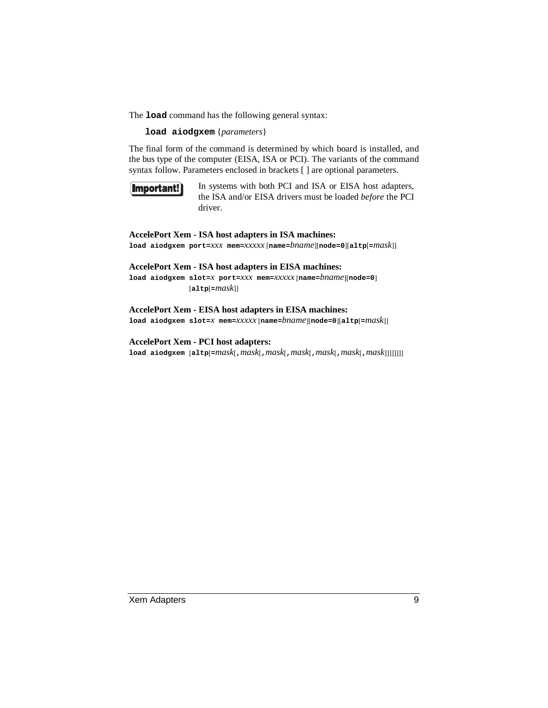The **load** command has the following general syntax:

**load aiodgxem** {*parameters*}

The final form of the command is determined by which board is installed, and the bus type of the computer (EISA, ISA or PCI). The variants of the command syntax follow. Parameters enclosed in brackets [ ] are optional parameters.



In systems with both PCI and ISA or EISA host adapters, the ISA and/or EISA drivers must be loaded *before* the PCI driver.

#### **AccelePort Xem - ISA host adapters in ISA machines:**

**load aiodgxem port=***xxx* **mem=***xxxxx* [**name=***bname*][**node=0**][**altp**[**=***mask*]]

#### **AccelePort Xem - ISA host adapters in EISA machines:**

**load aiodgxem slot=***x* **port=***xxx* **mem=***xxxxx* [**name=***bname*][**node=0**] [**altp**[**=***mask*]]

#### **AccelePort Xem - EISA host adapters in EISA machines:**

**load aiodgxem slot=***x* **mem=***xxxxx* [**name=***bname*][**node=0**][**altp**[**=***mask*]]

#### **AccelePort Xem - PCI host adapters:**

**load aiodgxem** [**altp**[**=***mask*[**,***mask*[**,***mask*[**,***mask*[**,***mask*[**,***mask*[**,***mask*]]]]]]]]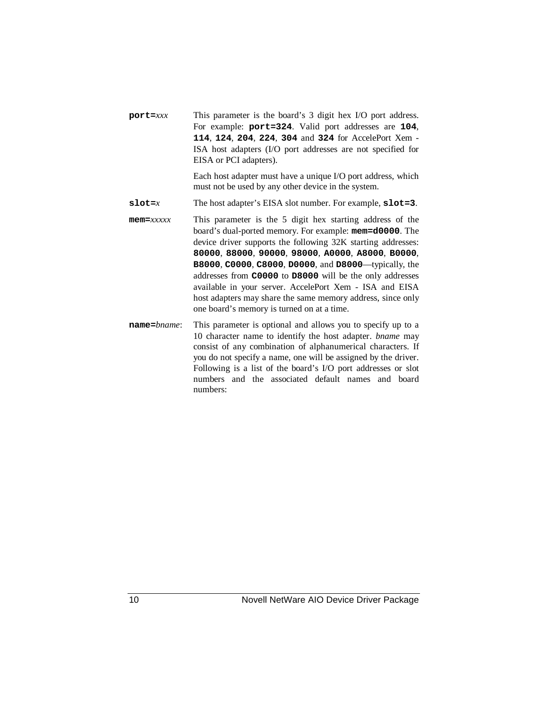**port=***xxx* This parameter is the board's 3 digit hex I/O port address. For example: **port=324**. Valid port addresses are **104**, **114**, **124**, **204**, **224**, **304** and **324** for AccelePort Xem - ISA host adapters (I/O port addresses are not specified for EISA or PCI adapters).

> Each host adapter must have a unique I/O port address, which must not be used by any other device in the system.

- **slot=***x* The host adapter's EISA slot number. For example, **slot=3**.
- **mem=***xxxxx* This parameter is the 5 digit hex starting address of the board's dual-ported memory. For example: **mem=d0000**. The device driver supports the following 32K starting addresses: **80000**, **88000**, **90000**, **98000**, **A0000**, **A8000**, **B0000**, **B8000**, **C0000**, **C8000**, **D0000**, and **D8000**—typically, the addresses from **C0000** to **D8000** will be the only addresses available in your server. AccelePort Xem - ISA and EISA host adapters may share the same memory address, since only one board's memory is turned on at a time.
- **name=***bname*: This parameter is optional and allows you to specify up to a 10 character name to identify the host adapter. *bname* may consist of any combination of alphanumerical characters. If you do not specify a name, one will be assigned by the driver. Following is a list of the board's I/O port addresses or slot numbers and the associated default names and board numbers: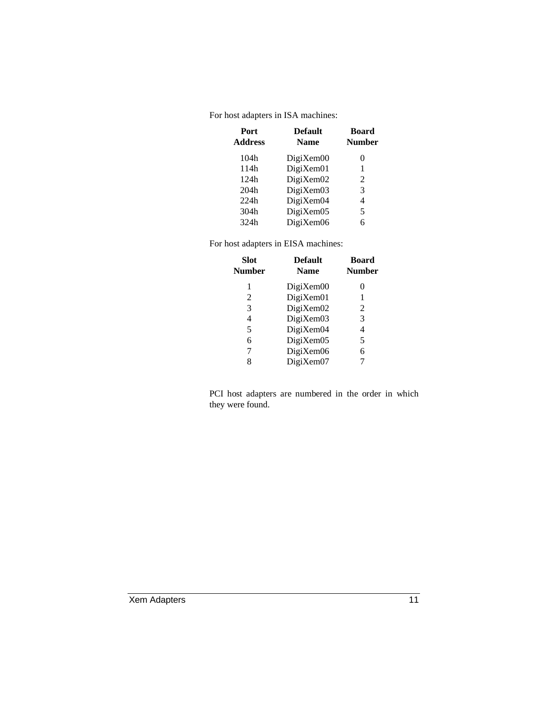For host adapters in ISA machines:

| Port<br><b>Address</b> | <b>Default</b><br><b>Name</b> | Board<br><b>Number</b> |
|------------------------|-------------------------------|------------------------|
| 104h                   | $DigitX$ em $00$              | 0                      |
| 114h                   | DigiXem01                     | 1                      |
| 124h                   | DigiXem02                     | 2                      |
| 204h                   | DigiXem03                     | 3                      |
| 224h                   | DigiXem04                     | 4                      |
| 304h                   | DigiXem05                     | 5                      |
| 324h                   | $DigitX$ em $06$              | 6                      |

For host adapters in EISA machines:

| <b>Slot</b><br><b>Number</b> | <b>Default</b><br><b>Name</b> | Board<br><b>Number</b> |
|------------------------------|-------------------------------|------------------------|
| 1                            | $DigitX$ em $00$              | $_{0}$                 |
| 2                            | DigiXem01                     | 1                      |
| 3                            | DigiXem02                     | 2                      |
| 4                            | DigiXem03                     | 3                      |
| 5                            | DigiXem04                     | 4                      |
| 6                            | DigiXem05                     | 5                      |
| 7                            | DigiXem06                     | 6                      |
| 8                            | DigiXem07                     |                        |

PCI host adapters are numbered in the order in which they were found.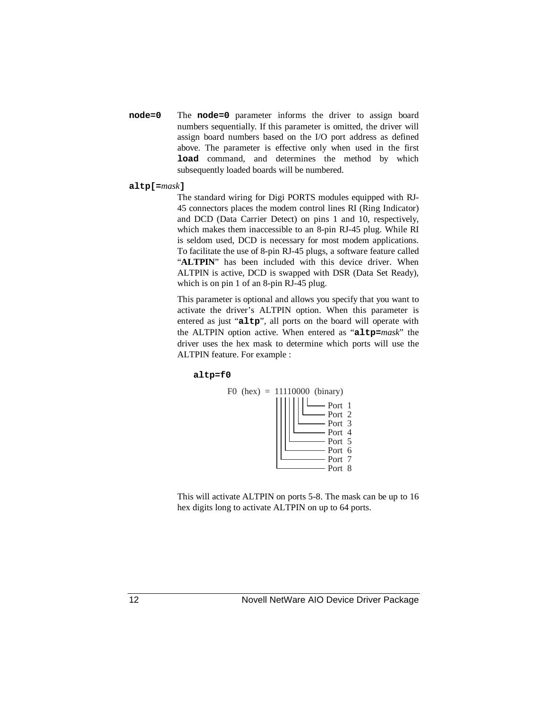- **node=0** The **node=0** parameter informs the driver to assign board numbers sequentially. If this parameter is omitted, the driver will assign board numbers based on the I/O port address as defined above. The parameter is effective only when used in the first **load** command, and determines the method by which subsequently loaded boards will be numbered.
- **altp[=***mask***]**

The standard wiring for Digi PORTS modules equipped with RJ-45 connectors places the modem control lines RI (Ring Indicator) and DCD (Data Carrier Detect) on pins 1 and 10, respectively, which makes them inaccessible to an 8-pin RJ-45 plug. While RI is seldom used, DCD is necessary for most modem applications. To facilitate the use of 8-pin RJ-45 plugs, a software feature called "ALTPIN" has been included with this device driver. When ALTPIN is active, DCD is swapped with DSR (Data Set Ready), which is on pin 1 of an 8-pin RJ-45 plug.

This parameter is optional and allows you specify that you want to activate the driver's ALTPIN option. When this parameter is entered as just "**altp**", all ports on the board will operate with the ALTPIN option active. When entered as "**altp=***mask*" the driver uses the hex mask to determine which ports will use the ALTPIN feature. For example :

#### **altp=f0**



This will activate ALTPIN on ports 5-8. The mask can be up to 16 hex digits long to activate ALTPIN on up to 64 ports.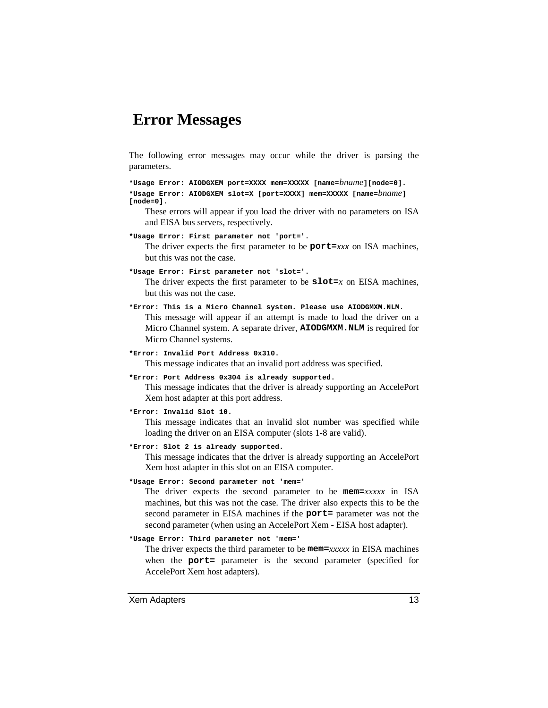### **Error Messages**

The following error messages may occur while the driver is parsing the parameters.

**\*Usage Error: AIODGXEM port=XXXX mem=XXXXX [name=***bname***][node=0]. \*Usage Error: AIODGXEM slot=X [port=XXXX] mem=XXXXX [name=***bname***] [node=0].**

These errors will appear if you load the driver with no parameters on ISA and EISA bus servers, respectively.

**\*Usage Error: First parameter not 'port='.**

The driver expects the first parameter to be **port=***xxx* on ISA machines, but this was not the case.

**\*Usage Error: First parameter not 'slot='.**

The driver expects the first parameter to be  $slot=x$  on EISA machines, but this was not the case.

**\*Error: This is a Micro Channel system. Please use AIODGMXM.NLM.**

This message will appear if an attempt is made to load the driver on a Micro Channel system. A separate driver, **AIODGMXM.NLM** is required for Micro Channel systems.

**\*Error: Invalid Port Address 0x310.**

This message indicates that an invalid port address was specified.

**\*Error: Port Address 0x304 is already supported.**

This message indicates that the driver is already supporting an AccelePort Xem host adapter at this port address.

**\*Error: Invalid Slot 10.**

This message indicates that an invalid slot number was specified while loading the driver on an EISA computer (slots 1-8 are valid).

**\*Error: Slot 2 is already supported.**

This message indicates that the driver is already supporting an AccelePort Xem host adapter in this slot on an EISA computer.

**\*Usage Error: Second parameter not 'mem='**

The driver expects the second parameter to be **mem=***xxxxx* in ISA machines, but this was not the case. The driver also expects this to be the second parameter in EISA machines if the **port=** parameter was not the second parameter (when using an AccelePort Xem - EISA host adapter).

#### **\*Usage Error: Third parameter not 'mem='**

The driver expects the third parameter to be **mem=***xxxxx* in EISA machines when the **port=** parameter is the second parameter (specified for AccelePort Xem host adapters).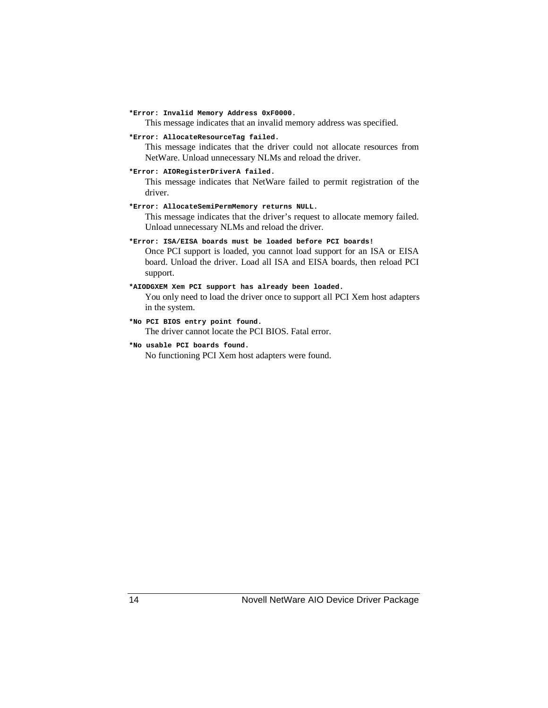```
*Error: Invalid Memory Address 0xF0000.
```
This message indicates that an invalid memory address was specified.

**\*Error: AllocateResourceTag failed.**

This message indicates that the driver could not allocate resources from NetWare. Unload unnecessary NLMs and reload the driver.

**\*Error: AIORegisterDriverA failed.**

This message indicates that NetWare failed to permit registration of the driver.

**\*Error: AllocateSemiPermMemory returns NULL.**

This message indicates that the driver's request to allocate memory failed. Unload unnecessary NLMs and reload the driver.

**\*Error: ISA/EISA boards must be loaded before PCI boards!**

Once PCI support is loaded, you cannot load support for an ISA or EISA board. Unload the driver. Load all ISA and EISA boards, then reload PCI support.

#### **\*AIODGXEM Xem PCI support has already been loaded.**

You only need to load the driver once to support all PCI Xem host adapters in the system.

- **\*No PCI BIOS entry point found.** The driver cannot locate the PCI BIOS. Fatal error.
- **\*No usable PCI boards found.**

No functioning PCI Xem host adapters were found.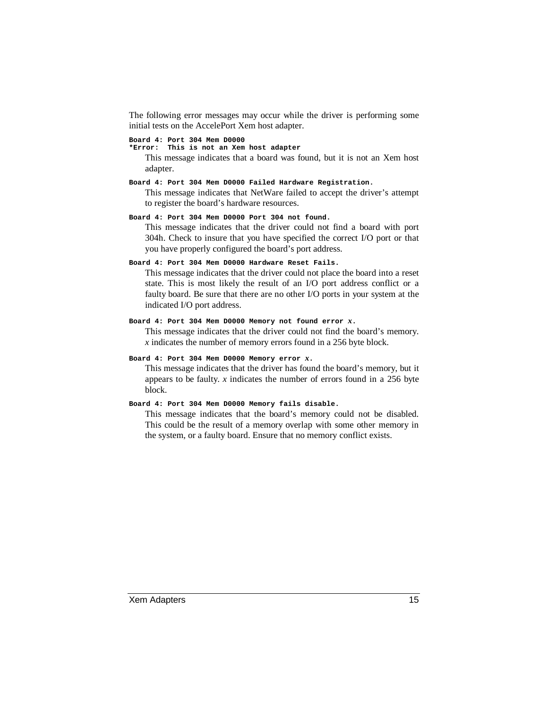The following error messages may occur while the driver is performing some initial tests on the AccelePort Xem host adapter.

#### **Board 4: Port 304 Mem D0000**

**\*Error: This is not an Xem host adapter**

This message indicates that a board was found, but it is not an Xem host adapter.

#### **Board 4: Port 304 Mem D0000 Failed Hardware Registration.**

This message indicates that NetWare failed to accept the driver's attempt to register the board's hardware resources.

#### **Board 4: Port 304 Mem D0000 Port 304 not found.**

This message indicates that the driver could not find a board with port 304h. Check to insure that you have specified the correct I/O port or that you have properly configured the board's port address.

#### **Board 4: Port 304 Mem D0000 Hardware Reset Fails.**

This message indicates that the driver could not place the board into a reset state. This is most likely the result of an I/O port address conflict or a faulty board. Be sure that there are no other I/O ports in your system at the indicated I/O port address.

#### **Board 4: Port 304 Mem D0000 Memory not found error** *x***.**

This message indicates that the driver could not find the board's memory. *x* indicates the number of memory errors found in a 256 byte block.

#### **Board 4: Port 304 Mem D0000 Memory error** *x***.**

This message indicates that the driver has found the board's memory, but it appears to be faulty. *x* indicates the number of errors found in a 256 byte block.

#### **Board 4: Port 304 Mem D0000 Memory fails disable.**

This message indicates that the board's memory could not be disabled. This could be the result of a memory overlap with some other memory in the system, or a faulty board. Ensure that no memory conflict exists.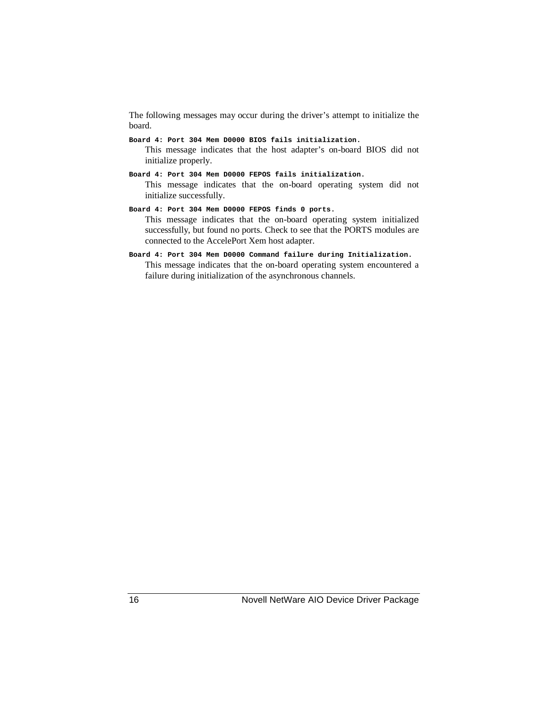The following messages may occur during the driver's attempt to initialize the board.

- **Board 4: Port 304 Mem D0000 BIOS fails initialization.** This message indicates that the host adapter's on-board BIOS did not initialize properly.
- **Board 4: Port 304 Mem D0000 FEPOS fails initialization.** This message indicates that the on-board operating system did not initialize successfully.
- **Board 4: Port 304 Mem D0000 FEPOS finds 0 ports.** This message indicates that the on-board operating system initialized successfully, but found no ports. Check to see that the PORTS modules are connected to the AccelePort Xem host adapter.
- **Board 4: Port 304 Mem D0000 Command failure during Initialization.** This message indicates that the on-board operating system encountered a failure during initialization of the asynchronous channels.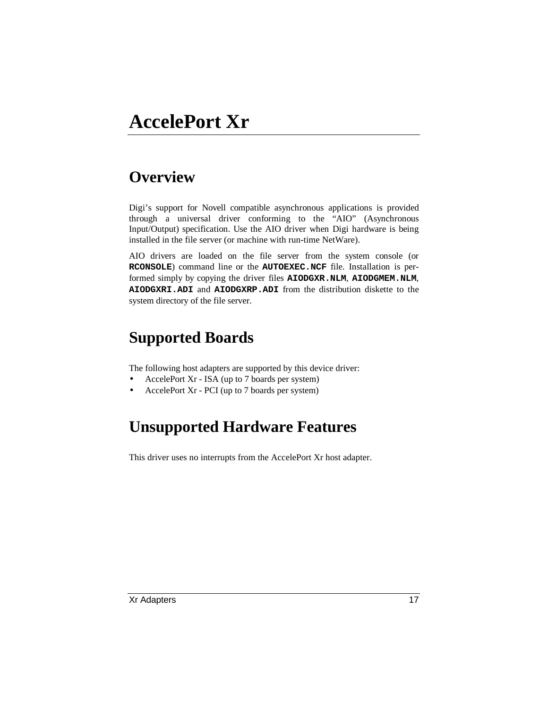# **AccelePort Xr**

### **Overview**

Digi's support for Novell compatible asynchronous applications is provided through a universal driver conforming to the "AIO" (Asynchronous Input/Output) specification. Use the AIO driver when Digi hardware is being installed in the file server (or machine with run-time NetWare).

AIO drivers are loaded on the file server from the system console (or **RCONSOLE**) command line or the **AUTOEXEC.NCF** file. Installation is performed simply by copying the driver files **AIODGXR.NLM**, **AIODGMEM.NLM**, **AIODGXRI.ADI** and **AIODGXRP.ADI** from the distribution diskette to the system directory of the file server.

### **Supported Boards**

The following host adapters are supported by this device driver:

- AccelePort Xr ISA (up to 7 boards per system)
- AccelePort Xr PCI (up to 7 boards per system)

### **Unsupported Hardware Features**

This driver uses no interrupts from the AccelePort Xr host adapter.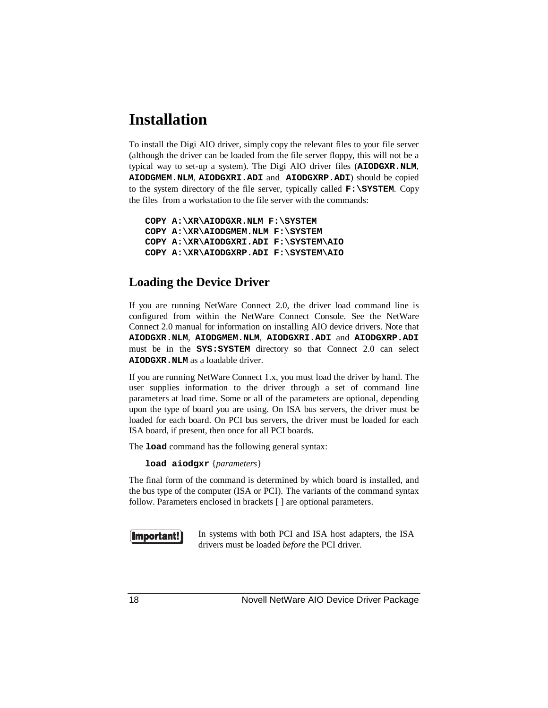### **Installation**

To install the Digi AIO driver, simply copy the relevant files to your file server (although the driver can be loaded from the file server floppy, this will not be a typical way to set-up a system). The Digi AIO driver files (**AIODGXR.NLM**, **AIODGMEM.NLM**, **AIODGXRI.ADI** and **AIODGXRP.ADI**) should be copied to the system directory of the file server, typically called **F:\SYSTEM**. Copy the files from a workstation to the file server with the commands:

```
COPY A:\XR\AIODGXR.NLM F:\SYSTEM
COPY A:\XR\AIODGMEM.NLM F:\SYSTEM
COPY A:\XR\AIODGXRI.ADI F:\SYSTEM\AIO
COPY A:\XR\AIODGXRP.ADI F:\SYSTEM\AIO
```
#### **Loading the Device Driver**

If you are running NetWare Connect 2.0, the driver load command line is configured from within the NetWare Connect Console. See the NetWare Connect 2.0 manual for information on installing AIO device drivers. Note that **AIODGXR.NLM**, **AIODGMEM.NLM**, **AIODGXRI.ADI** and **AIODGXRP.ADI** must be in the **SYS:SYSTEM** directory so that Connect 2.0 can select **AIODGXR.NLM** as a loadable driver.

If you are running NetWare Connect 1.x, you must load the driver by hand. The user supplies information to the driver through a set of command line parameters at load time. Some or all of the parameters are optional, depending upon the type of board you are using. On ISA bus servers, the driver must be loaded for each board. On PCI bus servers, the driver must be loaded for each ISA board, if present, then once for all PCI boards.

The **load** command has the following general syntax:

**load aiodgxr** {*parameters*}

The final form of the command is determined by which board is installed, and the bus type of the computer (ISA or PCI). The variants of the command syntax follow. Parameters enclosed in brackets [ ] are optional parameters.



In systems with both PCI and ISA host adapters, the ISA drivers must be loaded *before* the PCI driver.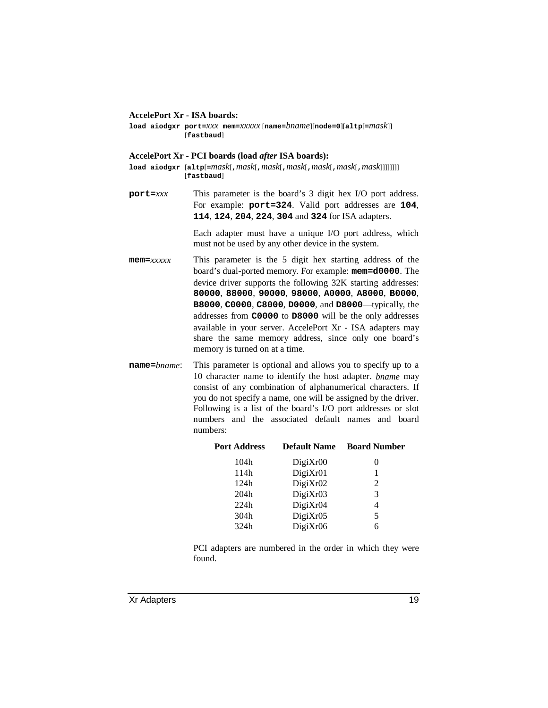#### **AccelePort Xr - ISA boards:**

**load aiodgxr port=***xxx* **mem=***xxxxx* [**name=***bname*][**node=0**][**altp**[**=***mask*]] [**fastbaud**]

#### **AccelePort Xr - PCI boards (load** *after* **ISA boards):**

- **load aiodgxr** [**altp**[**=***mask*[**,***mask*[**,***mask*[**,***mask*[**,***mask*[**,***mask*[**,***mask*]]]]]]]] [**fastbaud**]
- **port=***xxx* This parameter is the board's 3 digit hex I/O port address. For example: **port=324**. Valid port addresses are **104**, **114**, **124**, **204**, **224**, **304** and **324** for ISA adapters.

Each adapter must have a unique I/O port address, which must not be used by any other device in the system.

- **mem=***xxxxx* This parameter is the 5 digit hex starting address of the board's dual-ported memory. For example: **mem=d0000**. The device driver supports the following 32K starting addresses: **80000**, **88000**, **90000**, **98000**, **A0000**, **A8000**, **B0000**, **B8000**, **C0000**, **C8000**, **D0000**, and **D8000**—typically, the addresses from **C0000** to **D8000** will be the only addresses available in your server. AccelePort Xr - ISA adapters may share the same memory address, since only one board's memory is turned on at a time.
- **name=***bname*: This parameter is optional and allows you to specify up to a 10 character name to identify the host adapter. *bname* may consist of any combination of alphanumerical characters. If you do not specify a name, one will be assigned by the driver. Following is a list of the board's I/O port addresses or slot numbers and the associated default names and board numbers:

| <b>Port Address</b> | <b>Default Name</b> | <b>Board Number</b> |
|---------------------|---------------------|---------------------|
| 104h                | DigitXr00           | 0                   |
| 114h                | DigiXr01            |                     |
| 124h                | DigiXr02            | 2                   |
| 204h                | DigiXr03            | 3                   |
| 224h                | DigiXr04            | 4                   |
| 304h                | DigiXr05            | 5                   |
| 324h                | DigiXr06            | 6                   |
|                     |                     |                     |

PCI adapters are numbered in the order in which they were found.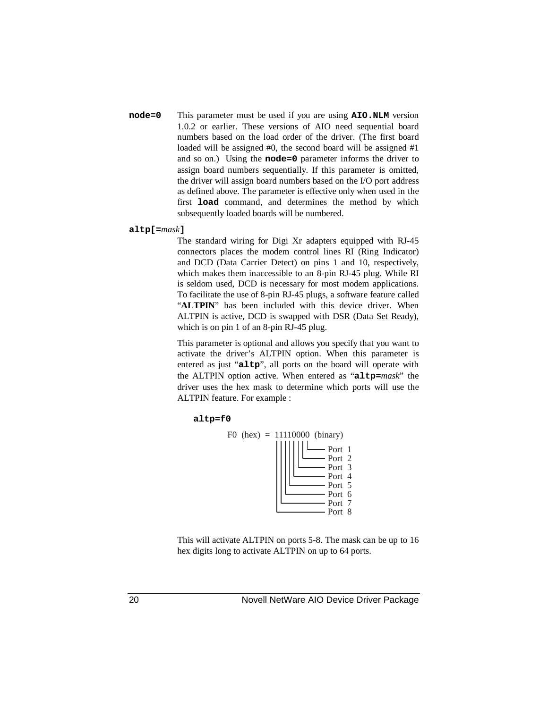**node=0** This parameter must be used if you are using **AIO.NLM** version 1.0.2 or earlier. These versions of AIO need sequential board numbers based on the load order of the driver. (The first board loaded will be assigned #0, the second board will be assigned #1 and so on.) Using the **node=0** parameter informs the driver to assign board numbers sequentially. If this parameter is omitted, the driver will assign board numbers based on the I/O port address as defined above. The parameter is effective only when used in the first **load** command, and determines the method by which subsequently loaded boards will be numbered.

#### **altp[=***mask***]**

The standard wiring for Digi Xr adapters equipped with RJ-45 connectors places the modem control lines RI (Ring Indicator) and DCD (Data Carrier Detect) on pins 1 and 10, respectively, which makes them inaccessible to an 8-pin RJ-45 plug. While RI is seldom used, DCD is necessary for most modem applications. To facilitate the use of 8-pin RJ-45 plugs, a software feature called "ALTPIN" has been included with this device driver. When ALTPIN is active, DCD is swapped with DSR (Data Set Ready), which is on pin 1 of an 8-pin RJ-45 plug.

This parameter is optional and allows you specify that you want to activate the driver's ALTPIN option. When this parameter is entered as just "**altp**", all ports on the board will operate with the ALTPIN option active. When entered as "**altp=***mask*" the driver uses the hex mask to determine which ports will use the ALTPIN feature. For example :

#### **altp=f0**



This will activate ALTPIN on ports 5-8. The mask can be up to 16 hex digits long to activate ALTPIN on up to 64 ports.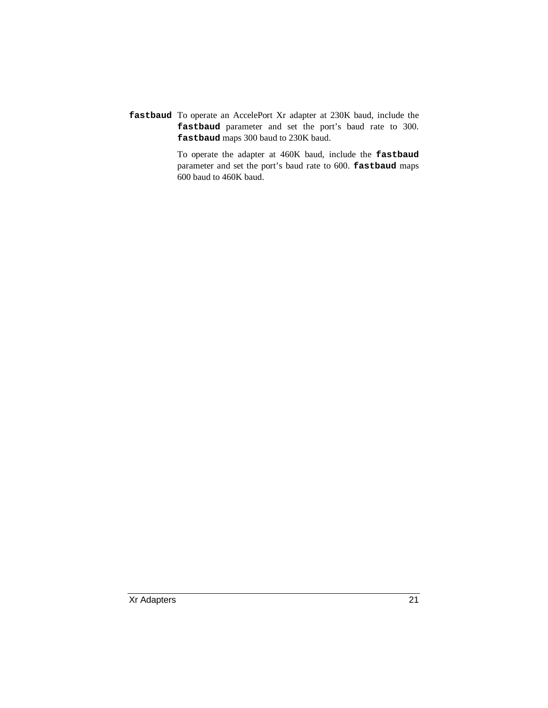**fastbaud** To operate an AccelePort Xr adapter at 230K baud, include the **fastbaud** parameter and set the port's baud rate to 300. **fastbaud** maps 300 baud to 230K baud.

> To operate the adapter at 460K baud, include the **fastbaud** parameter and set the port's baud rate to 600. **fastbaud** maps 600 baud to 460K baud.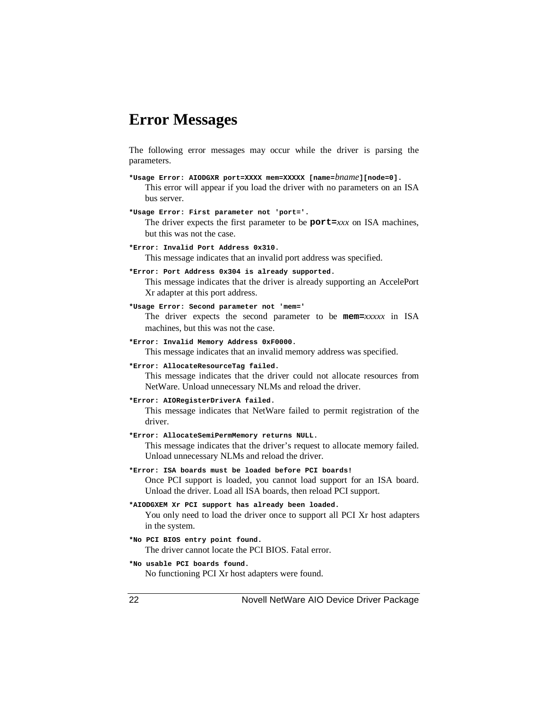### **Error Messages**

The following error messages may occur while the driver is parsing the parameters.

- **\*Usage Error: AIODGXR port=XXXX mem=XXXXX [name=***bname***][node=0].** This error will appear if you load the driver with no parameters on an ISA bus server.
- **\*Usage Error: First parameter not 'port='.**

The driver expects the first parameter to be **port=***xxx* on ISA machines, but this was not the case.

- **\*Error: Invalid Port Address 0x310.** This message indicates that an invalid port address was specified.
- **\*Error: Port Address 0x304 is already supported.**

This message indicates that the driver is already supporting an AccelePort Xr adapter at this port address.

**\*Usage Error: Second parameter not 'mem='**

The driver expects the second parameter to be **mem=***xxxxx* in ISA machines, but this was not the case.

- **\*Error: Invalid Memory Address 0xF0000.** This message indicates that an invalid memory address was specified.
- **\*Error: AllocateResourceTag failed.**

This message indicates that the driver could not allocate resources from NetWare. Unload unnecessary NLMs and reload the driver.

**\*Error: AIORegisterDriverA failed.**

This message indicates that NetWare failed to permit registration of the driver.

**\*Error: AllocateSemiPermMemory returns NULL.**

This message indicates that the driver's request to allocate memory failed. Unload unnecessary NLMs and reload the driver.

**\*Error: ISA boards must be loaded before PCI boards!**

Once PCI support is loaded, you cannot load support for an ISA board. Unload the driver. Load all ISA boards, then reload PCI support.

- **\*AIODGXEM Xr PCI support has already been loaded.** You only need to load the driver once to support all PCI Xr host adapters in the system.
- **\*No PCI BIOS entry point found.** The driver cannot locate the PCI BIOS. Fatal error.
- **\*No usable PCI boards found.** No functioning PCI Xr host adapters were found.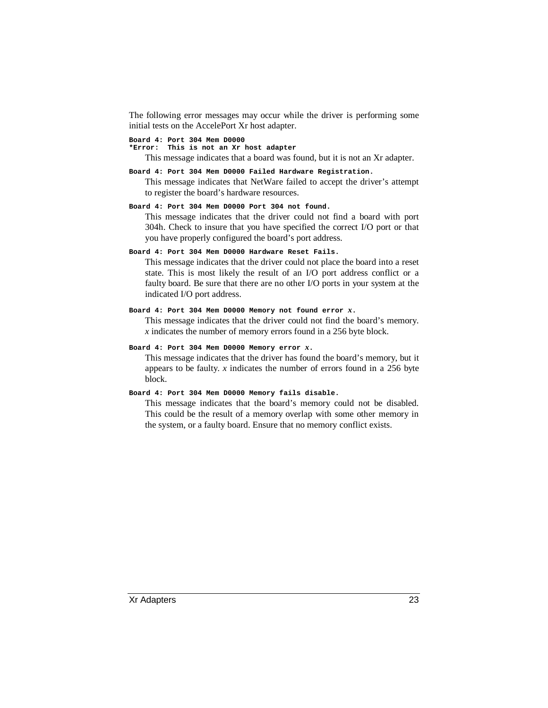The following error messages may occur while the driver is performing some initial tests on the AccelePort Xr host adapter.

#### **Board 4: Port 304 Mem D0000**

**\*Error: This is not an Xr host adapter**

This message indicates that a board was found, but it is not an Xr adapter.

#### **Board 4: Port 304 Mem D0000 Failed Hardware Registration.**

This message indicates that NetWare failed to accept the driver's attempt to register the board's hardware resources.

#### **Board 4: Port 304 Mem D0000 Port 304 not found.**

This message indicates that the driver could not find a board with port 304h. Check to insure that you have specified the correct I/O port or that you have properly configured the board's port address.

#### **Board 4: Port 304 Mem D0000 Hardware Reset Fails.**

This message indicates that the driver could not place the board into a reset state. This is most likely the result of an I/O port address conflict or a faulty board. Be sure that there are no other I/O ports in your system at the indicated I/O port address.

#### **Board 4: Port 304 Mem D0000 Memory not found error** *x***.**

This message indicates that the driver could not find the board's memory. *x* indicates the number of memory errors found in a 256 byte block.

#### **Board 4: Port 304 Mem D0000 Memory error** *x***.**

This message indicates that the driver has found the board's memory, but it appears to be faulty. *x* indicates the number of errors found in a 256 byte block.

#### **Board 4: Port 304 Mem D0000 Memory fails disable.**

This message indicates that the board's memory could not be disabled. This could be the result of a memory overlap with some other memory in the system, or a faulty board. Ensure that no memory conflict exists.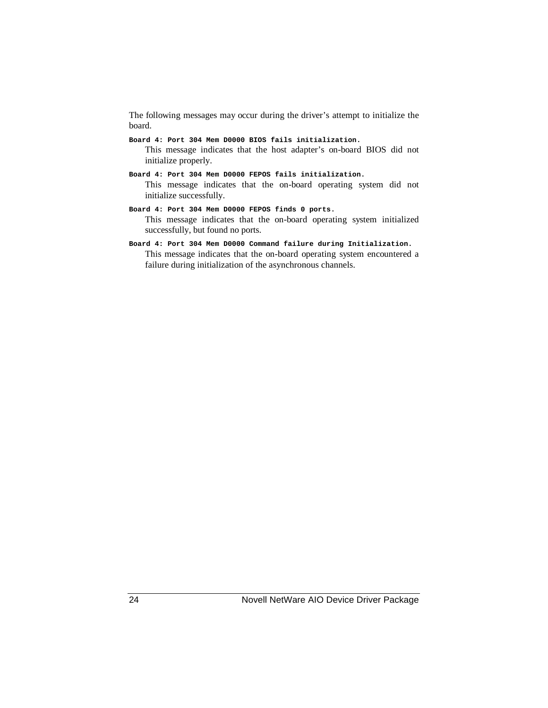The following messages may occur during the driver's attempt to initialize the board.

- **Board 4: Port 304 Mem D0000 BIOS fails initialization.** This message indicates that the host adapter's on-board BIOS did not initialize properly.
- **Board 4: Port 304 Mem D0000 FEPOS fails initialization.** This message indicates that the on-board operating system did not initialize successfully.
- **Board 4: Port 304 Mem D0000 FEPOS finds 0 ports.** This message indicates that the on-board operating system initialized successfully, but found no ports.
- **Board 4: Port 304 Mem D0000 Command failure during Initialization.** This message indicates that the on-board operating system encountered a failure during initialization of the asynchronous channels.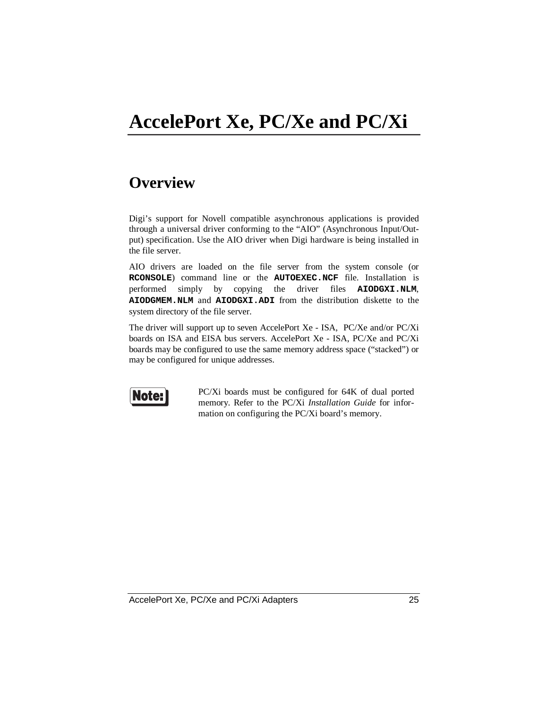# **AccelePort Xe, PC/Xe and PC/Xi**

### **Overview**

Digi's support for Novell compatible asynchronous applications is provided through a universal driver conforming to the "AIO" (Asynchronous Input/Output) specification. Use the AIO driver when Digi hardware is being installed in the file server.

AIO drivers are loaded on the file server from the system console (or **RCONSOLE**) command line or the **AUTOEXEC.NCF** file. Installation is performed simply by copying the driver files **AIODGXI.NLM**, **AIODGMEM.NLM** and **AIODGXI.ADI** from the distribution diskette to the system directory of the file server.

The driver will support up to seven AccelePort Xe - ISA, PC/Xe and/or PC/Xi boards on ISA and EISA bus servers. AccelePort Xe - ISA, PC/Xe and PC/Xi boards may be configured to use the same memory address space ("stacked") or may be configured for unique addresses.



PC/Xi boards must be configured for 64K of dual ported memory. Refer to the PC/Xi *Installation Guide* for information on configuring the PC/Xi board's memory.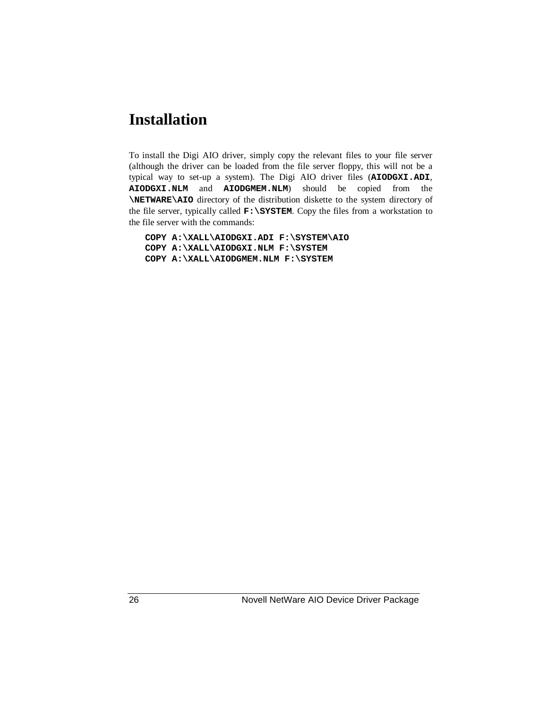### **Installation**

To install the Digi AIO driver, simply copy the relevant files to your file server (although the driver can be loaded from the file server floppy, this will not be a typical way to set-up a system). The Digi AIO driver files (**AIODGXI.ADI**, **AIODGXI.NLM** and **AIODGMEM.NLM**) should be copied from the **\NETWARE\AIO** directory of the distribution diskette to the system directory of the file server, typically called **F:\SYSTEM**. Copy the files from a workstation to the file server with the commands:

**COPY A:\XALL\AIODGXI.ADI F:\SYSTEM\AIO COPY A:\XALL\AIODGXI.NLM F:\SYSTEM COPY A:\XALL\AIODGMEM.NLM F:\SYSTEM**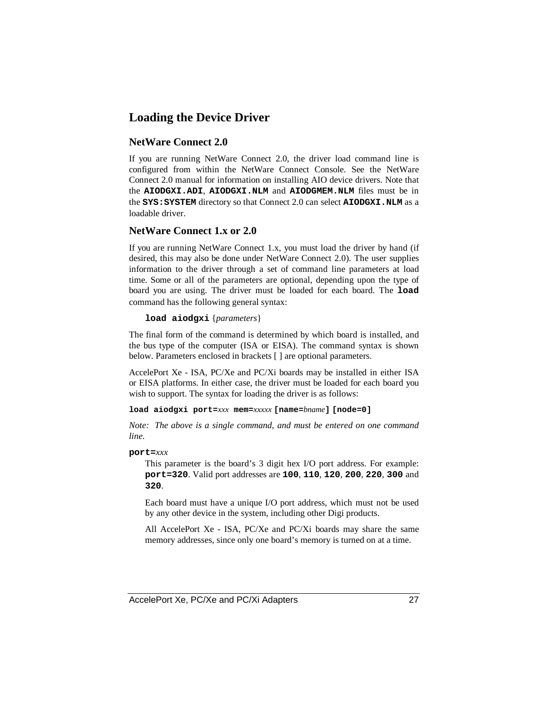#### **Loading the Device Driver**

#### **NetWare Connect 2.0**

If you are running NetWare Connect 2.0, the driver load command line is configured from within the NetWare Connect Console. See the NetWare Connect 2.0 manual for information on installing AIO device drivers. Note that the **AIODGXI.ADI**, **AIODGXI.NLM** and **AIODGMEM.NLM** files must be in the SYS: SYSTEM directory so that Connect 2.0 can select **AIODGXI.NLM** as a loadable driver.

#### **NetWare Connect 1.x or 2.0**

If you are running NetWare Connect 1.x, you must load the driver by hand (if desired, this may also be done under NetWare Connect 2.0). The user supplies information to the driver through a set of command line parameters at load time. Some or all of the parameters are optional, depending upon the type of board you are using. The driver must be loaded for each board. The **load** command has the following general syntax:

#### **load aiodgxi** {*parameters*}

The final form of the command is determined by which board is installed, and the bus type of the computer (ISA or EISA). The command syntax is shown below. Parameters enclosed in brackets [ ] are optional parameters.

AccelePort Xe - ISA, PC/Xe and PC/Xi boards may be installed in either ISA or EISA platforms. In either case, the driver must be loaded for each board you wish to support. The syntax for loading the driver is as follows:

#### **load aiodgxi port=***xxx* **mem=***xxxxx* **[name=***bname***] [node=0]**

*Note: The above is a single command, and must be entered on one command line.*

#### **port=***xxx*

This parameter is the board's 3 digit hex I/O port address. For example: **port=320**. Valid port addresses are **100**, **110**, **120**, **200**, **220**, **300** and **320**.

Each board must have a unique I/O port address, which must not be used by any other device in the system, including other Digi products.

All AccelePort Xe - ISA, PC/Xe and PC/Xi boards may share the same memory addresses, since only one board's memory is turned on at a time.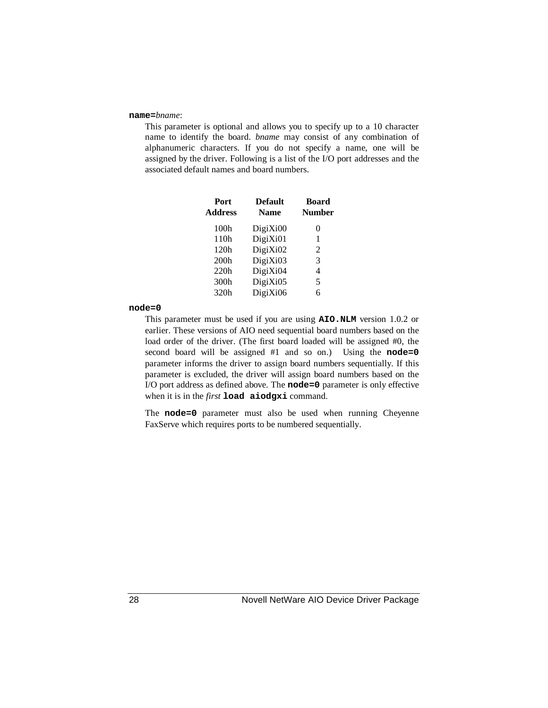#### **name=***bname*:

This parameter is optional and allows you to specify up to a 10 character name to identify the board. *bname* may consist of any combination of alphanumeric characters. If you do not specify a name, one will be assigned by the driver. Following is a list of the I/O port addresses and the associated default names and board numbers.

| Port<br><b>Address</b> | <b>Default</b><br><b>Name</b> | <b>Board</b><br><b>Number</b> |
|------------------------|-------------------------------|-------------------------------|
| 100h                   | DigiXi00                      | 0                             |
| 110h                   | DigiXi01                      | 1                             |
| 120h                   | DigiXi02                      | 2                             |
| 200 <sub>h</sub>       | DigiXi03                      | 3                             |
| 220h                   | DigiXi04                      | 4                             |
| 300h                   | DigiXi05                      | 5                             |
| 320h                   | DigiXi06                      | 6                             |

#### **node=0**

This parameter must be used if you are using **AIO.NLM** version 1.0.2 or earlier. These versions of AIO need sequential board numbers based on the load order of the driver. (The first board loaded will be assigned #0, the second board will be assigned #1 and so on.) Using the **node=0** parameter informs the driver to assign board numbers sequentially. If this parameter is excluded, the driver will assign board numbers based on the I/O port address as defined above. The **node=0** parameter is only effective when it is in the *first* **load aiodgxi** command.

The **node=0** parameter must also be used when running Cheyenne FaxServe which requires ports to be numbered sequentially.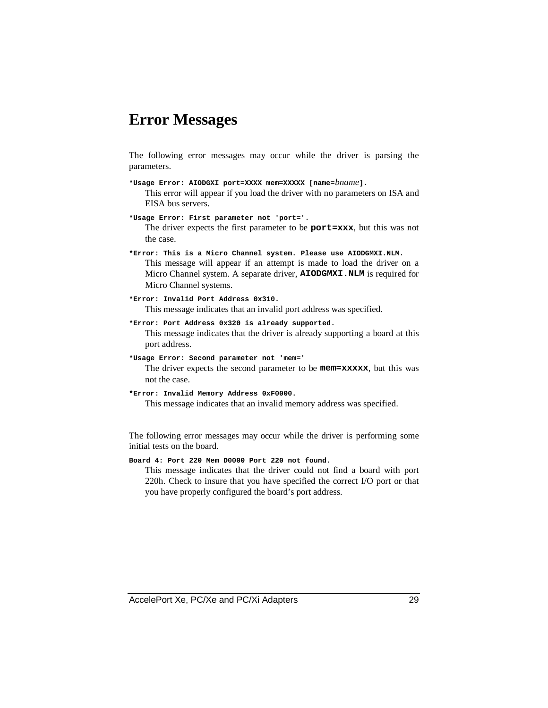### **Error Messages**

The following error messages may occur while the driver is parsing the parameters.

- **\*Usage Error: AIODGXI port=XXXX mem=XXXXX [name=***bname***].** This error will appear if you load the driver with no parameters on ISA and EISA bus servers.
- **\*Usage Error: First parameter not 'port='.** The driver expects the first parameter to be **port=xxx**, but this was not the case.
- **\*Error: This is a Micro Channel system. Please use AIODGMXI.NLM.** This message will appear if an attempt is made to load the driver on a Micro Channel system. A separate driver, **AIODGMXI.NLM** is required for Micro Channel systems.
- **\*Error: Invalid Port Address 0x310.** This message indicates that an invalid port address was specified.
- **\*Error: Port Address 0x320 is already supported.** This message indicates that the driver is already supporting a board at this port address.
- **\*Usage Error: Second parameter not 'mem='** The driver expects the second parameter to be **mem=xxxxx**, but this was not the case.
- **\*Error: Invalid Memory Address 0xF0000.** This message indicates that an invalid memory address was specified.

The following error messages may occur while the driver is performing some initial tests on the board.

**Board 4: Port 220 Mem D0000 Port 220 not found.**

This message indicates that the driver could not find a board with port 220h. Check to insure that you have specified the correct I/O port or that you have properly configured the board's port address.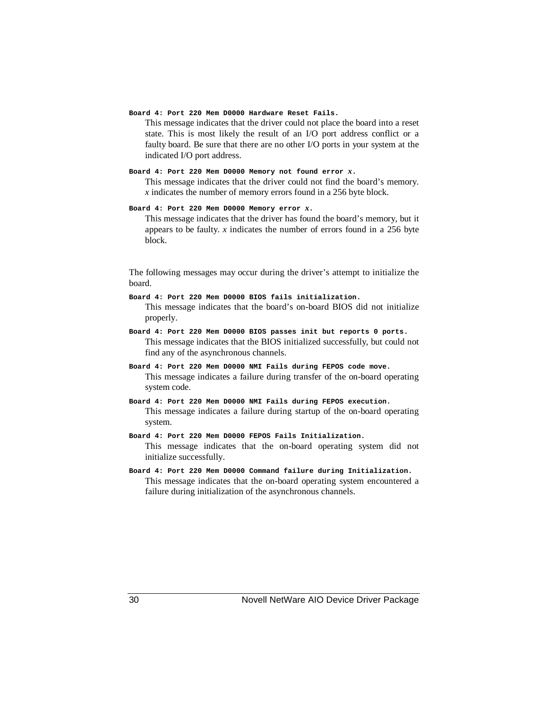#### **Board 4: Port 220 Mem D0000 Hardware Reset Fails.**

This message indicates that the driver could not place the board into a reset state. This is most likely the result of an I/O port address conflict or a faulty board. Be sure that there are no other I/O ports in your system at the indicated I/O port address.

#### **Board 4: Port 220 Mem D0000 Memory not found error** *x***.**

This message indicates that the driver could not find the board's memory. *x* indicates the number of memory errors found in a 256 byte block.

#### **Board 4: Port 220 Mem D0000 Memory error** *x***.**

This message indicates that the driver has found the board's memory, but it appears to be faulty. *x* indicates the number of errors found in a 256 byte block.

The following messages may occur during the driver's attempt to initialize the board.

- **Board 4: Port 220 Mem D0000 BIOS fails initialization.** This message indicates that the board's on-board BIOS did not initialize properly.
- **Board 4: Port 220 Mem D0000 BIOS passes init but reports 0 ports.** This message indicates that the BIOS initialized successfully, but could not find any of the asynchronous channels.
- **Board 4: Port 220 Mem D0000 NMI Fails during FEPOS code move.** This message indicates a failure during transfer of the on-board operating system code.
- **Board 4: Port 220 Mem D0000 NMI Fails during FEPOS execution.** This message indicates a failure during startup of the on-board operating system.
- **Board 4: Port 220 Mem D0000 FEPOS Fails Initialization.** This message indicates that the on-board operating system did not initialize successfully.
- **Board 4: Port 220 Mem D0000 Command failure during Initialization.** This message indicates that the on-board operating system encountered a failure during initialization of the asynchronous channels.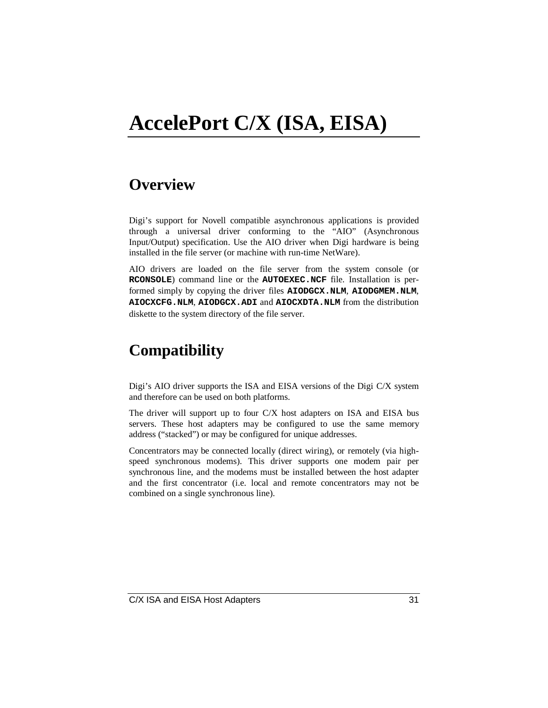# **AccelePort C/X (ISA, EISA)**

### **Overview**

Digi's support for Novell compatible asynchronous applications is provided through a universal driver conforming to the "AIO" (Asynchronous Input/Output) specification. Use the AIO driver when Digi hardware is being installed in the file server (or machine with run-time NetWare).

AIO drivers are loaded on the file server from the system console (or **RCONSOLE**) command line or the **AUTOEXEC.NCF** file. Installation is performed simply by copying the driver files **AIODGCX.NLM**, **AIODGMEM.NLM**, **AIOCXCFG.NLM**, **AIODGCX.ADI** and **AIOCXDTA.NLM** from the distribution diskette to the system directory of the file server.

### **Compatibility**

Digi's AIO driver supports the ISA and EISA versions of the Digi C/X system and therefore can be used on both platforms.

The driver will support up to four C/X host adapters on ISA and EISA bus servers. These host adapters may be configured to use the same memory address ("stacked") or may be configured for unique addresses.

Concentrators may be connected locally (direct wiring), or remotely (via highspeed synchronous modems). This driver supports one modem pair per synchronous line, and the modems must be installed between the host adapter and the first concentrator (i.e. local and remote concentrators may not be combined on a single synchronous line).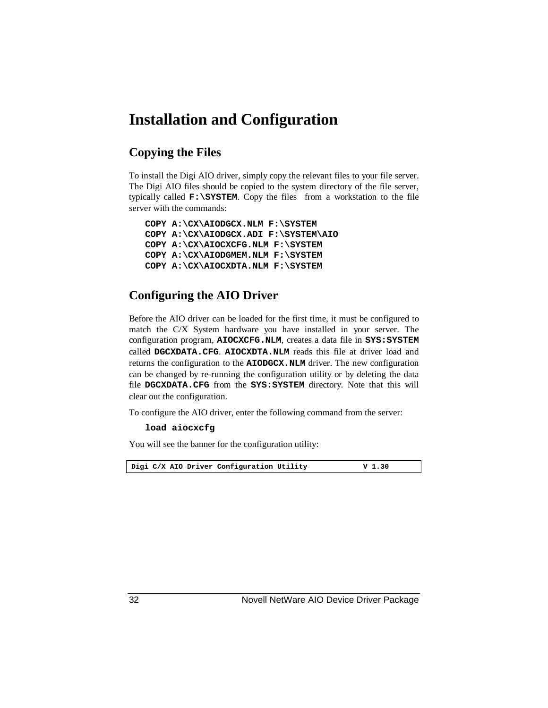### **Installation and Configuration**

#### **Copying the Files**

To install the Digi AIO driver, simply copy the relevant files to your file server. The Digi AIO files should be copied to the system directory of the file server, typically called **F:\SYSTEM**. Copy the files from a workstation to the file server with the commands:

```
COPY A:\CX\AIODGCX.NLM F:\SYSTEM
COPY A:\CX\AIODGCX.ADI F:\SYSTEM\AIO
COPY A:\CX\AIOCXCFG.NLM F:\SYSTEM
COPY A:\CX\AIODGMEM.NLM F:\SYSTEM
COPY A:\CX\AIOCXDTA.NLM F:\SYSTEM
```
#### **Configuring the AIO Driver**

Before the AIO driver can be loaded for the first time, it must be configured to match the C/X System hardware you have installed in your server. The configuration program, **AIOCXCFG.NLM**, creates a data file in **SYS:SYSTEM** called **DGCXDATA.CFG**. **AIOCXDTA.NLM** reads this file at driver load and returns the configuration to the **AIODGCX.NLM** driver. The new configuration can be changed by re-running the configuration utility or by deleting the data file **DGCXDATA.CFG** from the **SYS:SYSTEM** directory. Note that this will clear out the configuration.

To configure the AIO driver, enter the following command from the server:

#### **load aiocxcfg**

You will see the banner for the configuration utility:

Digi C/X AIO Driver Configuration Utility **V** 1.30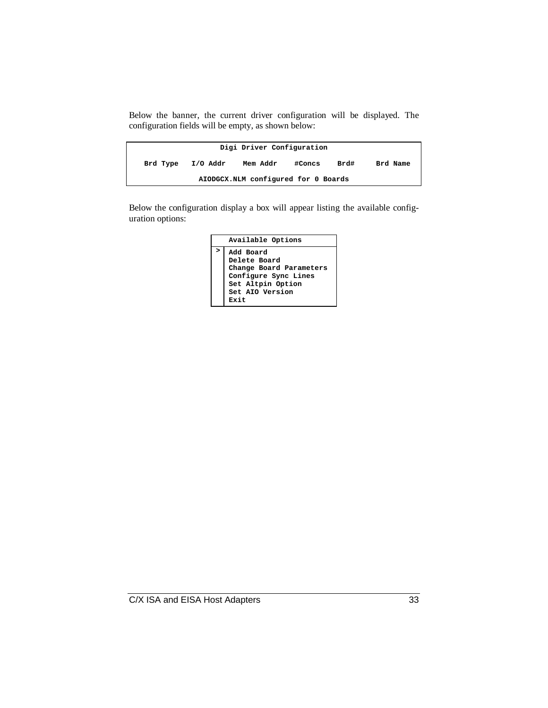Below the banner, the current driver configuration will be displayed. The configuration fields will be empty, as shown below:

|          |          | Digi Driver Configuration           |        |      |          |
|----------|----------|-------------------------------------|--------|------|----------|
| Brd Type | I/O Addr | Mem Addr                            | #Concs | Brd# | Brd Name |
|          |          | AIODGCX.NLM configured for 0 Boards |        |      |          |

Below the configuration display a box will appear listing the available configuration options:

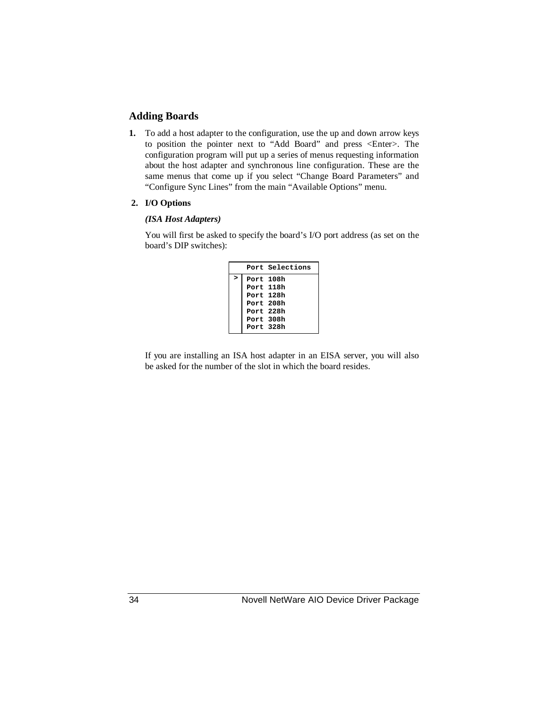#### **Adding Boards**

**1.** To add a host adapter to the configuration, use the up and down arrow keys to position the pointer next to "Add Board" and press <Enter>. The configuration program will put up a series of menus requesting information about the host adapter and synchronous line configuration. These are the same menus that come up if you select "Change Board Parameters" and "Configure Sync Lines" from the main "Available Options" menu.

#### **2. I/O Options**

#### *(ISA Host Adapters)*

You will first be asked to specify the board's I/O port address (as set on the board's DIP switches):

|   | Port Selections |
|---|-----------------|
| > | Port 108h       |
|   | Port 118h       |
|   | Port 128h       |
|   | Port 208h       |
|   | Port 228h       |
|   | Port 308h       |
|   | Port 328h       |

If you are installing an ISA host adapter in an EISA server, you will also be asked for the number of the slot in which the board resides.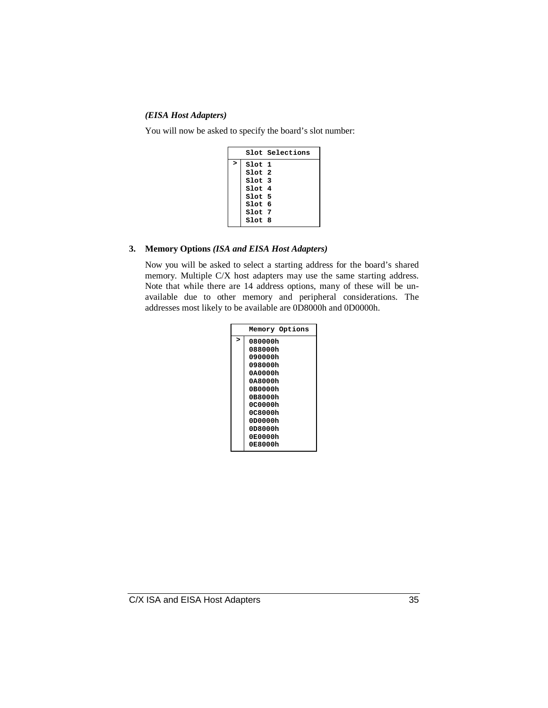#### *(EISA Host Adapters)*

You will now be asked to specify the board's slot number:

|              |        | Slot Selections |
|--------------|--------|-----------------|
| $\mathbf{r}$ | Slot 1 |                 |
|              | Slot 2 |                 |
|              | Slot 3 |                 |
|              | Slot 4 |                 |
|              | Slot 5 |                 |
|              | Slot 6 |                 |
|              | Slot 7 |                 |
|              | Slot 8 |                 |

#### **3. Memory Options** *(ISA and EISA Host Adapters)*

Now you will be asked to select a starting address for the board's shared memory. Multiple C/X host adapters may use the same starting address. Note that while there are 14 address options, many of these will be unavailable due to other memory and peripheral considerations. The addresses most likely to be available are 0D8000h and 0D0000h.

|   | Memory Options |
|---|----------------|
| > | 080000h        |
|   | 088000h        |
|   | 090000h        |
|   | 098000h        |
|   | 0A0000h        |
|   | 0A8000h        |
|   | 0B0000h        |
|   | 0B8000h        |
|   | 0C0000h        |
|   | 0C8000h        |
|   | 0D0000h        |
|   | 0D8000h        |
|   | 0E0000h        |
|   | 0E8000h        |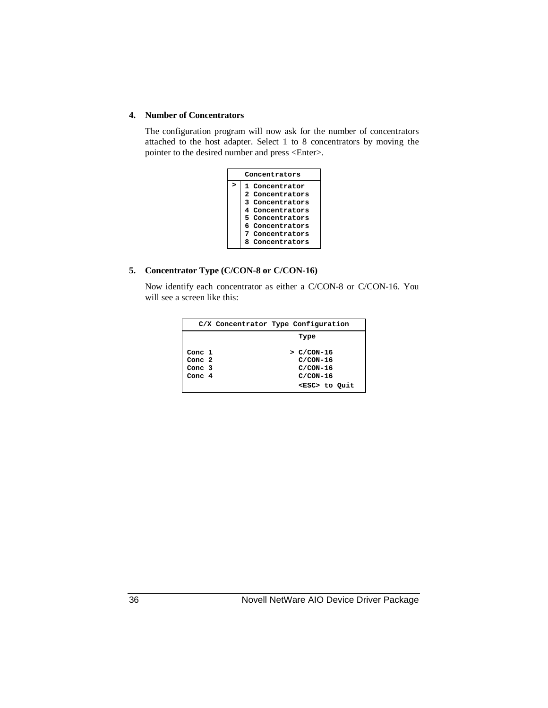#### **4. Number of Concentrators**

The configuration program will now ask for the number of concentrators attached to the host adapter. Select 1 to 8 concentrators by moving the pointer to the desired number and press <Enter>.

| Concentrators |                    |  |
|---------------|--------------------|--|
|               | 1 Concentrator     |  |
|               | 2 Concentrators    |  |
|               | 3 Concentrators    |  |
|               | 4 Concentrators    |  |
|               | 5 Concentrators    |  |
|               | 6 Concentrators    |  |
|               | Concentrators      |  |
|               | Concentrators<br>я |  |

#### **5. Concentrator Type (C/CON-8 or C/CON-16)**

Now identify each concentrator as either a C/CON-8 or C/CON-16. You will see a screen like this:

|          | C/X Concentrator Type Configuration |
|----------|-------------------------------------|
|          | Type                                |
| Conc 1   | $>$ C/CON-16                        |
| Conc 2   | $C/CON-16$                          |
| Conc $3$ | $C/CON-16$                          |
| Conc $4$ | $C/CON-16$                          |
|          | <esc> to Quit</esc>                 |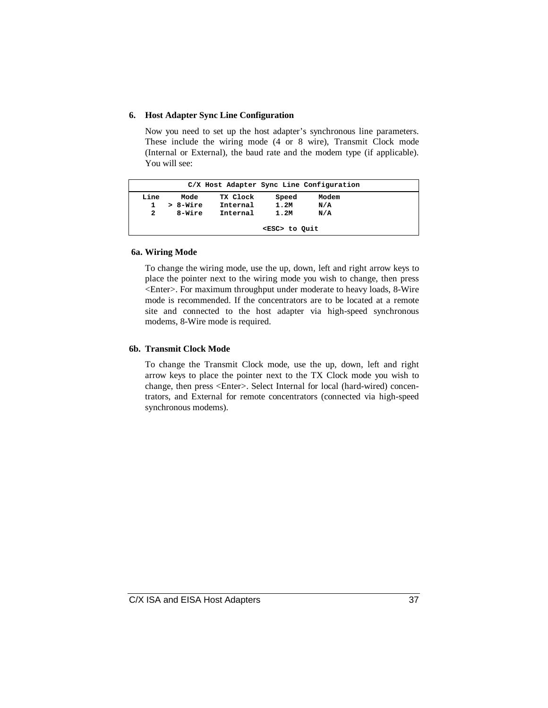#### **6. Host Adapter Sync Line Configuration**

Now you need to set up the host adapter's synchronous line parameters. These include the wiring mode (4 or 8 wire), Transmit Clock mode (Internal or External), the baud rate and the modem type (if applicable). You will see:

|      |                     |          |          |       | C/X Host Adapter Sync Line Configuration |  |  |
|------|---------------------|----------|----------|-------|------------------------------------------|--|--|
| Line |                     | Mode     | TX Clock | Speed | Modem                                    |  |  |
|      |                     | > 8-Wire | Internal | 1.2M  | N/A                                      |  |  |
| 2    |                     | 8-Wire   | Internal | 1.2M  | N/A                                      |  |  |
|      | <esc> to Ouit</esc> |          |          |       |                                          |  |  |

#### **6a. Wiring Mode**

To change the wiring mode, use the up, down, left and right arrow keys to place the pointer next to the wiring mode you wish to change, then press <Enter>. For maximum throughput under moderate to heavy loads, 8-Wire mode is recommended. If the concentrators are to be located at a remote site and connected to the host adapter via high-speed synchronous modems, 8-Wire mode is required.

#### **6b. Transmit Clock Mode**

To change the Transmit Clock mode, use the up, down, left and right arrow keys to place the pointer next to the TX Clock mode you wish to change, then press <Enter>. Select Internal for local (hard-wired) concentrators, and External for remote concentrators (connected via high-speed synchronous modems).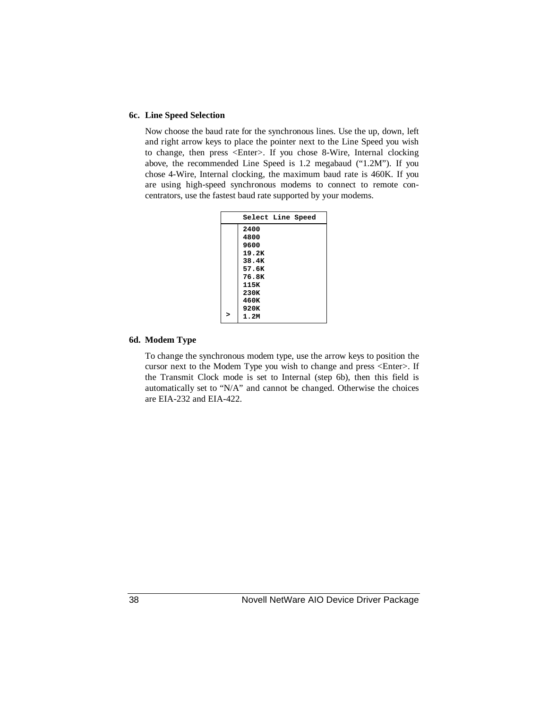#### **6c. Line Speed Selection**

Now choose the baud rate for the synchronous lines. Use the up, down, left and right arrow keys to place the pointer next to the Line Speed you wish to change, then press <Enter>. If you chose 8-Wire, Internal clocking above, the recommended Line Speed is 1.2 megabaud ("1.2M"). If you chose 4-Wire, Internal clocking, the maximum baud rate is 460K. If you are using high-speed synchronous modems to connect to remote concentrators, use the fastest baud rate supported by your modems.

| Select Line Speed |
|-------------------|
| 2400              |
| 4800              |
| 9600              |
| 19.2K             |
| 38.4K             |
| 57.6K             |
| 76.8K             |
| 115K              |
| 230K              |
| 460K              |
| 920K              |
| 1.2M              |

#### **6d. Modem Type**

To change the synchronous modem type, use the arrow keys to position the cursor next to the Modem Type you wish to change and press <Enter>. If the Transmit Clock mode is set to Internal (step 6b), then this field is automatically set to "N/A" and cannot be changed. Otherwise the choices are EIA-232 and EIA-422.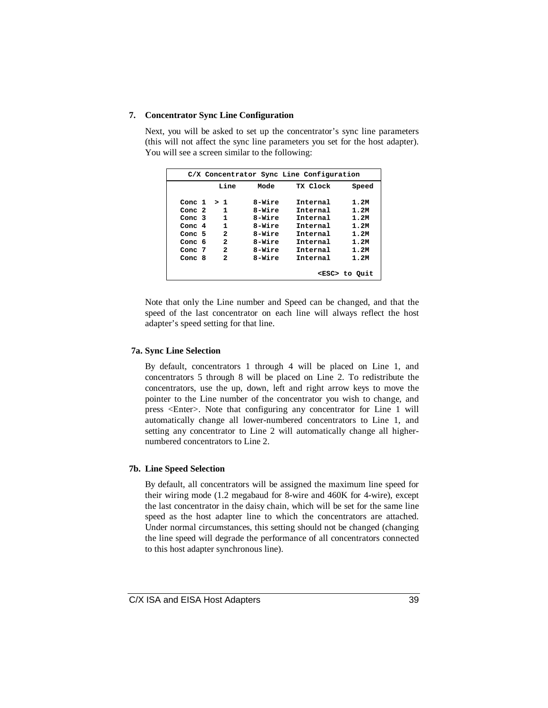#### **7. Concentrator Sync Line Configuration**

Next, you will be asked to set up the concentrator's sync line parameters (this will not affect the sync line parameters you set for the host adapter). You will see a screen similar to the following:

| C/X Concentrator Sync Line Configuration |      |        |                 |                     |  |  |  |  |
|------------------------------------------|------|--------|-----------------|---------------------|--|--|--|--|
|                                          | Line | Mode   | TX Clock        | Speed               |  |  |  |  |
| Conc 1                                   | > 1  | 8-Wire | Internal        | 1.2M                |  |  |  |  |
| Conc $2$                                 | 1    | 8-Wire | Internal        | 1.2M                |  |  |  |  |
| Conc 3                                   | 1    | 8-Wire | Tnternal        | 1.2M                |  |  |  |  |
| Conc $4$                                 | 1    | 8-Wire | Internal        | 1.2M                |  |  |  |  |
| Conc 5                                   | 2    | 8-Wire | <b>Tnternal</b> | 1.2M                |  |  |  |  |
| Conc 6                                   | 2    | 8-Wire | Tnternal        | 1.2M                |  |  |  |  |
| Conc 7                                   | 2    | 8-Wire | <b>Tnternal</b> | 1.2M                |  |  |  |  |
| Conc 8                                   | 2    | 8-Wire | <b>Tnternal</b> | 1.2M                |  |  |  |  |
|                                          |      |        |                 | <esc> to Ouit</esc> |  |  |  |  |

Note that only the Line number and Speed can be changed, and that the speed of the last concentrator on each line will always reflect the host adapter's speed setting for that line.

#### **7a. Sync Line Selection**

By default, concentrators 1 through 4 will be placed on Line 1, and concentrators 5 through 8 will be placed on Line 2. To redistribute the concentrators, use the up, down, left and right arrow keys to move the pointer to the Line number of the concentrator you wish to change, and press <Enter>. Note that configuring any concentrator for Line 1 will automatically change all lower-numbered concentrators to Line 1, and setting any concentrator to Line 2 will automatically change all highernumbered concentrators to Line 2.

#### **7b. Line Speed Selection**

By default, all concentrators will be assigned the maximum line speed for their wiring mode (1.2 megabaud for 8-wire and 460K for 4-wire), except the last concentrator in the daisy chain, which will be set for the same line speed as the host adapter line to which the concentrators are attached. Under normal circumstances, this setting should not be changed (changing the line speed will degrade the performance of all concentrators connected to this host adapter synchronous line).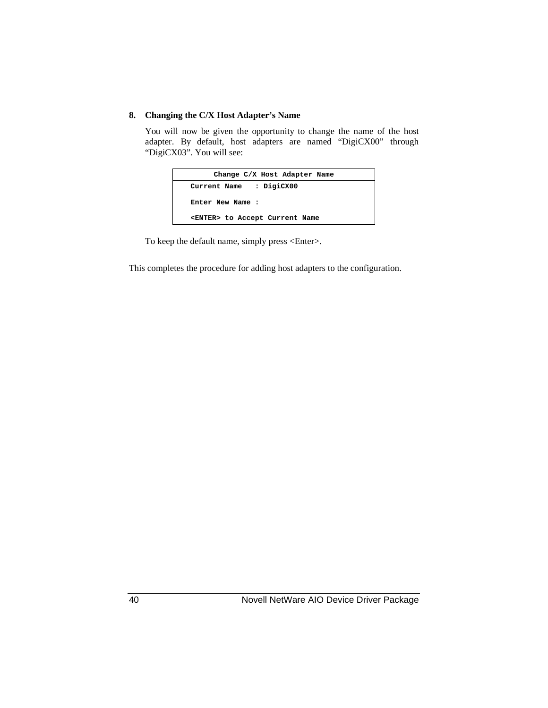#### **8. Changing the C/X Host Adapter's Name**

You will now be given the opportunity to change the name of the host adapter. By default, host adapters are named "DigiCX00" through "DigiCX03". You will see:



To keep the default name, simply press <Enter>.

This completes the procedure for adding host adapters to the configuration.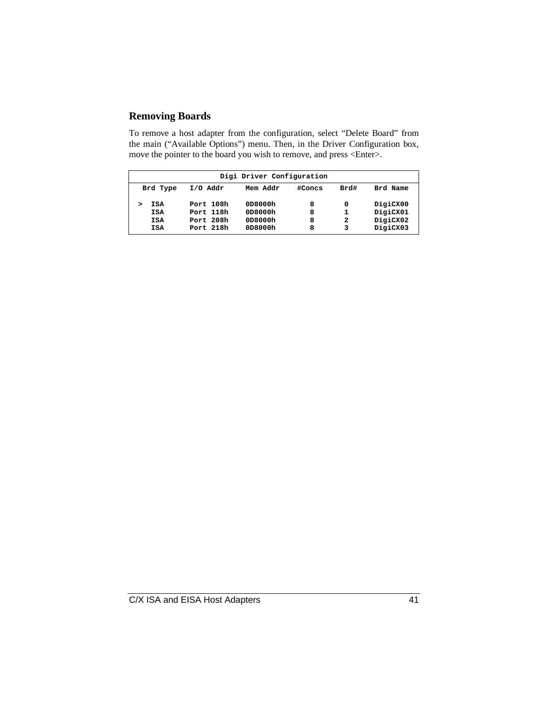### **Removing Boards**

To remove a host adapter from the configuration, select "Delete Board" from the main ("Available Options") menu. Then, in the Driver Configuration box, move the pointer to the board you wish to remove, and press <Enter>.

| Digi Driver Configuration |           |          |        |      |          |  |  |  |  |
|---------------------------|-----------|----------|--------|------|----------|--|--|--|--|
| Brd Type                  | I/O Addr  | Mem Addr | #Concs | Brd# | Brd Name |  |  |  |  |
| ISA                       | Port 108h | 0D8000h  | 8      | 0    | DigiCX00 |  |  |  |  |
| <b>ISA</b>                | Port 118h | 0D8000h  | 8      | 1    | DigiCX01 |  |  |  |  |
| <b>ISA</b>                | Port 208h | 0D8000h  | 8      | 2    | DigiCX02 |  |  |  |  |
| ISA                       | Port 218h | 0D8000h  | 8      | 3    | DigiCX03 |  |  |  |  |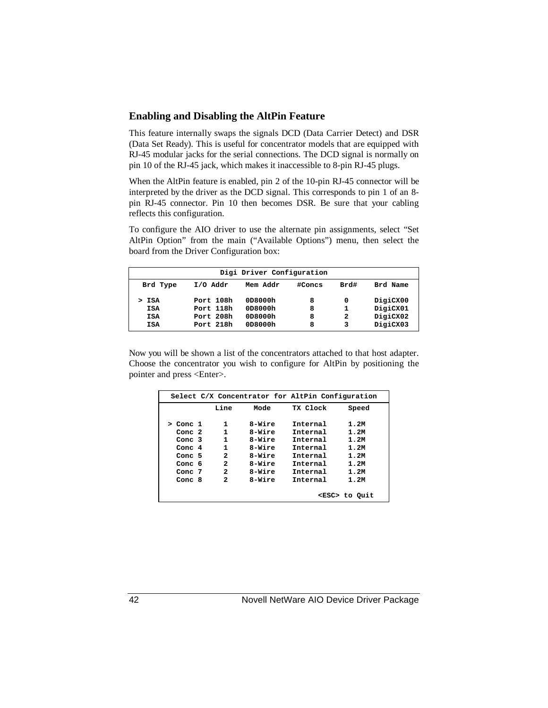#### **Enabling and Disabling the AltPin Feature**

This feature internally swaps the signals DCD (Data Carrier Detect) and DSR (Data Set Ready). This is useful for concentrator models that are equipped with RJ-45 modular jacks for the serial connections. The DCD signal is normally on pin 10 of the RJ-45 jack, which makes it inaccessible to 8-pin RJ-45 plugs.

When the AltPin feature is enabled, pin 2 of the 10-pin RJ-45 connector will be interpreted by the driver as the DCD signal. This corresponds to pin 1 of an 8 pin RJ-45 connector. Pin 10 then becomes DSR. Be sure that your cabling reflects this configuration.

To configure the AIO driver to use the alternate pin assignments, select "Set AltPin Option" from the main ("Available Options") menu, then select the board from the Driver Configuration box:

| Brd Type | I/O Addr  | Mem Addr | #Concs | Brd# | Brd Name |
|----------|-----------|----------|--------|------|----------|
| ISA      | Port 108h | 0D8000h  | 8      | 0    | DigiCX00 |
| ISA      | Port 118h | 0D8000h  | 8      | 1    | DigiCX01 |
| ISA      | Port 208h | 0D8000h  | 8      | 2    | DigiCX02 |
| ISA      | Port 218h | 0D8000h  | 8      | 3    | DigiCX03 |

Now you will be shown a list of the concentrators attached to that host adapter. Choose the concentrator you wish to configure for AltPin by positioning the pointer and press <Enter>.

| Conc 1<br>Conc $2$ | Line<br>1    | Mode   | TX Clock | Speed |
|--------------------|--------------|--------|----------|-------|
|                    |              |        |          |       |
|                    |              | 8-Wire | Internal | 1.2M  |
|                    | 1            | 8-Wire | Tnternal | 1.2M  |
| Conc $3$           | 1            | 8-Wire | Internal | 1.2M  |
| Conc $4$           | 1            | 8-Wire | Internal | 1.2M  |
| Conc $5$           | 2            | 8-Wire | Internal | 1.2M  |
| Conc 6             | $\mathbf{z}$ | 8-Wire | Internal | 1.2M  |
| Conc $7$           | $\mathbf{z}$ | 8-Wire | Internal | 1.2M  |
| Conc $8$           | 2            | 8-Wire | Tnternal | 1.2M  |

42 Novell NetWare AIO Device Driver Package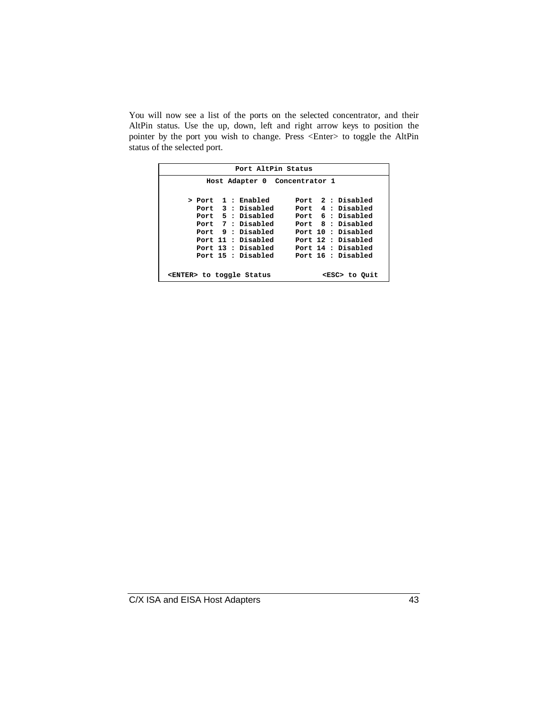You will now see a list of the ports on the selected concentrator, and their AltPin status. Use the up, down, left and right arrow keys to position the pointer by the port you wish to change. Press <Enter> to toggle the AltPin status of the selected port.

| Port AltPin Status                                       |  |                               |  |  |  |                    |  |  |
|----------------------------------------------------------|--|-------------------------------|--|--|--|--------------------|--|--|
|                                                          |  | Host Adapter 0 Concentrator 1 |  |  |  |                    |  |  |
|                                                          |  |                               |  |  |  |                    |  |  |
| > Port 1 : Enabled                                       |  |                               |  |  |  | Port 2 : Disabled  |  |  |
| Port 3 : Disabled                                        |  |                               |  |  |  | Port 4 : Disabled  |  |  |
| Port 5 : Disabled                                        |  |                               |  |  |  | Port 6 : Disabled  |  |  |
| Port 7 : Disabled                                        |  |                               |  |  |  | Port 8 : Disabled  |  |  |
| Port 9 : Disabled                                        |  |                               |  |  |  | Port 10 : Disabled |  |  |
| Port 11 : Disabled                                       |  |                               |  |  |  | Port 12 : Disabled |  |  |
|                                                          |  | Port 13 : Disabled            |  |  |  | Port 14 : Disabled |  |  |
|                                                          |  | Port 15 : Disabled            |  |  |  | Port 16 : Disabled |  |  |
|                                                          |  |                               |  |  |  |                    |  |  |
| <enter> to toggle Status<br/><esc> to Quit</esc></enter> |  |                               |  |  |  |                    |  |  |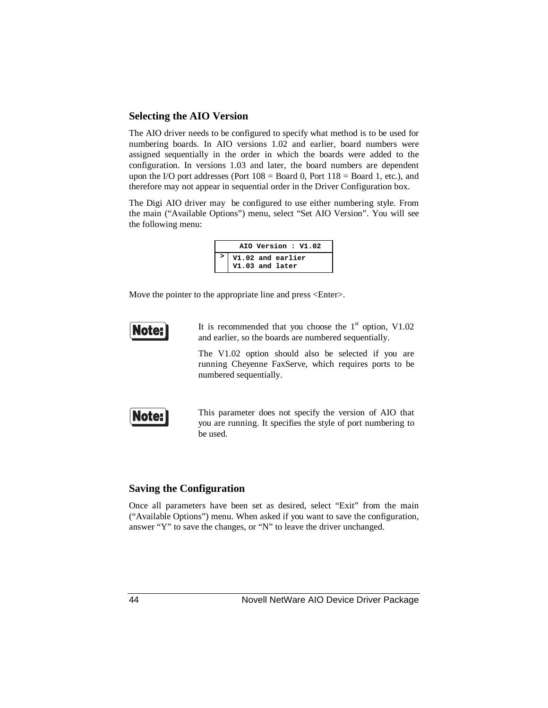#### **Selecting the AIO Version**

The AIO driver needs to be configured to specify what method is to be used for numbering boards. In AIO versions 1.02 and earlier, board numbers were assigned sequentially in the order in which the boards were added to the configuration. In versions 1.03 and later, the board numbers are dependent upon the I/O port addresses (Port  $108 =$  Board 0, Port  $118 =$  Board 1, etc.), and therefore may not appear in sequential order in the Driver Configuration box.

The Digi AIO driver may be configured to use either numbering style. From the main ("Available Options") menu, select "Set AIO Version". You will see the following menu:

| AIO Version: V1.02 |                                      |  |  |  |  |  |  |  |
|--------------------|--------------------------------------|--|--|--|--|--|--|--|
|                    | V1.02 and earlier<br>V1.03 and later |  |  |  |  |  |  |  |

Move the pointer to the appropriate line and press <Enter>.



It is recommended that you choose the  $1<sup>st</sup>$  option, V1.02 and earlier, so the boards are numbered sequentially.

The V1.02 option should also be selected if you are running Cheyenne FaxServe, which requires ports to be numbered sequentially.



This parameter does not specify the version of AIO that you are running. It specifies the style of port numbering to be used.

#### **Saving the Configuration**

Once all parameters have been set as desired, select "Exit" from the main ("Available Options") menu. When asked if you want to save the configuration, answer "Y" to save the changes, or "N" to leave the driver unchanged.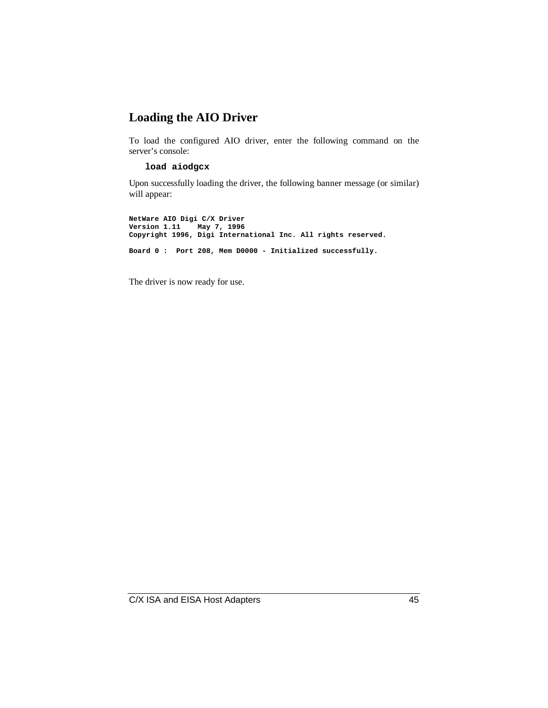## **Loading the AIO Driver**

To load the configured AIO driver, enter the following command on the server's console:

#### **load aiodgcx**

Upon successfully loading the driver, the following banner message (or similar) will appear:

**NetWare AIO Digi C/X Driver Version 1.11 May 7, 1996 Copyright 1996, Digi International Inc. All rights reserved. Board 0 : Port 208, Mem D0000 - Initialized successfully.**

The driver is now ready for use.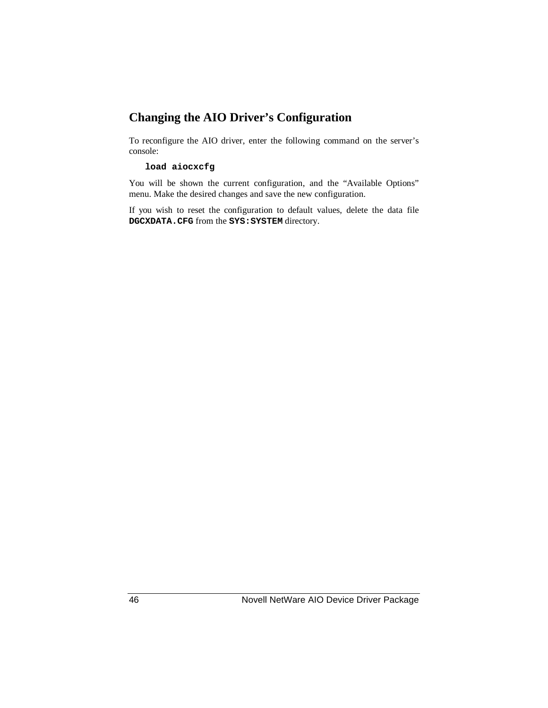## **Changing the AIO Driver's Configuration**

To reconfigure the AIO driver, enter the following command on the server's console:

#### **load aiocxcfg**

You will be shown the current configuration, and the "Available Options" menu. Make the desired changes and save the new configuration.

If you wish to reset the configuration to default values, delete the data file **DGCXDATA.CFG** from the **SYS:SYSTEM** directory.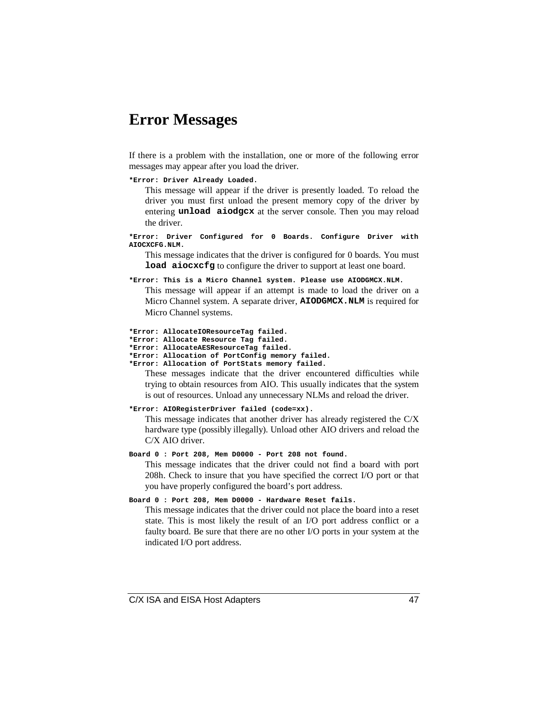## **Error Messages**

If there is a problem with the installation, one or more of the following error messages may appear after you load the driver.

**\*Error: Driver Already Loaded.**

This message will appear if the driver is presently loaded. To reload the driver you must first unload the present memory copy of the driver by entering **unload aiodgcx** at the server console. Then you may reload the driver.

**\*Error: Driver Configured for 0 Boards. Configure Driver with AIOCXCFG.NLM.**

This message indicates that the driver is configured for 0 boards. You must **load aiocxcfg** to configure the driver to support at least one board.

**\*Error: This is a Micro Channel system. Please use AIODGMCX.NLM.**

This message will appear if an attempt is made to load the driver on a Micro Channel system. A separate driver, **AIODGMCX.NLM** is required for Micro Channel systems.

**\*Error: AllocateIOResourceTag failed. \*Error: Allocate Resource Tag failed.**

- **\*Error: AllocateAESResourceTag failed.**
- **\*Error: Allocation of PortConfig memory failed.**
- **\*Error: Allocation of PortStats memory failed.**

These messages indicate that the driver encountered difficulties while trying to obtain resources from AIO. This usually indicates that the system is out of resources. Unload any unnecessary NLMs and reload the driver.

```
*Error: AIORegisterDriver failed (code=xx).
```
This message indicates that another driver has already registered the C/X hardware type (possibly illegally). Unload other AIO drivers and reload the C/X AIO driver.

**Board 0 : Port 208, Mem D0000 - Port 208 not found.**

This message indicates that the driver could not find a board with port 208h. Check to insure that you have specified the correct I/O port or that you have properly configured the board's port address.

```
Board 0 : Port 208, Mem D0000 - Hardware Reset fails.
```
This message indicates that the driver could not place the board into a reset state. This is most likely the result of an I/O port address conflict or a faulty board. Be sure that there are no other I/O ports in your system at the indicated I/O port address.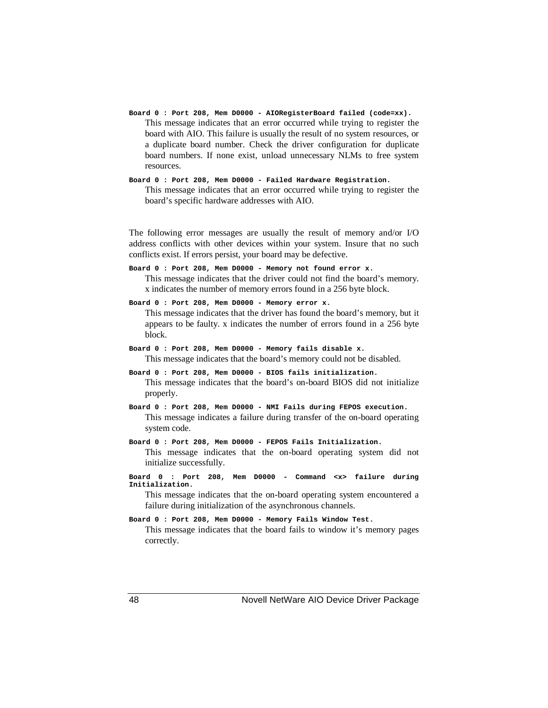- **Board 0 : Port 208, Mem D0000 AIORegisterBoard failed (code=xx).** This message indicates that an error occurred while trying to register the board with AIO. This failure is usually the result of no system resources, or a duplicate board number. Check the driver configuration for duplicate board numbers. If none exist, unload unnecessary NLMs to free system resources.
- **Board 0 : Port 208, Mem D0000 Failed Hardware Registration.** This message indicates that an error occurred while trying to register the board's specific hardware addresses with AIO.

The following error messages are usually the result of memory and/or I/O address conflicts with other devices within your system. Insure that no such conflicts exist. If errors persist, your board may be defective.

- **Board 0 : Port 208, Mem D0000 Memory not found error x.** This message indicates that the driver could not find the board's memory. x indicates the number of memory errors found in a 256 byte block.
- **Board 0 : Port 208, Mem D0000 Memory error x.** This message indicates that the driver has found the board's memory, but it appears to be faulty. x indicates the number of errors found in a 256 byte block.
- **Board 0 : Port 208, Mem D0000 Memory fails disable x.** This message indicates that the board's memory could not be disabled.
- **Board 0 : Port 208, Mem D0000 BIOS fails initialization.** This message indicates that the board's on-board BIOS did not initialize properly.
- **Board 0 : Port 208, Mem D0000 NMI Fails during FEPOS execution.** This message indicates a failure during transfer of the on-board operating system code.
- **Board 0 : Port 208, Mem D0000 FEPOS Fails Initialization.** This message indicates that the on-board operating system did not initialize successfully.
- **Board 0 : Port 208, Mem D0000 Command <x> failure during Initialization.**

This message indicates that the on-board operating system encountered a failure during initialization of the asynchronous channels.

**Board 0 : Port 208, Mem D0000 - Memory Fails Window Test.**

This message indicates that the board fails to window it's memory pages correctly.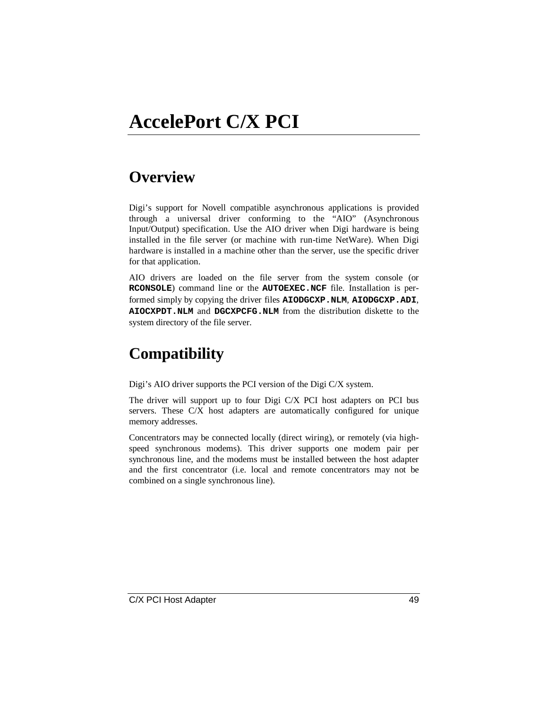# **AccelePort C/X PCI**

## **Overview**

Digi's support for Novell compatible asynchronous applications is provided through a universal driver conforming to the "AIO" (Asynchronous Input/Output) specification. Use the AIO driver when Digi hardware is being installed in the file server (or machine with run-time NetWare). When Digi hardware is installed in a machine other than the server, use the specific driver for that application.

AIO drivers are loaded on the file server from the system console (or **RCONSOLE**) command line or the **AUTOEXEC.NCF** file. Installation is performed simply by copying the driver files **AIODGCXP.NLM**, **AIODGCXP.ADI**, **AIOCXPDT.NLM** and **DGCXPCFG.NLM** from the distribution diskette to the system directory of the file server.

# **Compatibility**

Digi's AIO driver supports the PCI version of the Digi C/X system.

The driver will support up to four Digi C/X PCI host adapters on PCI bus servers. These C/X host adapters are automatically configured for unique memory addresses.

Concentrators may be connected locally (direct wiring), or remotely (via highspeed synchronous modems). This driver supports one modem pair per synchronous line, and the modems must be installed between the host adapter and the first concentrator (i.e. local and remote concentrators may not be combined on a single synchronous line).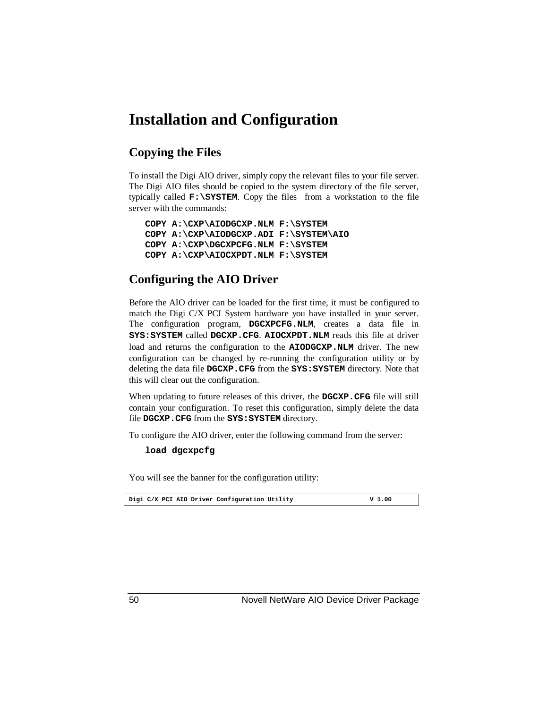## **Installation and Configuration**

## **Copying the Files**

To install the Digi AIO driver, simply copy the relevant files to your file server. The Digi AIO files should be copied to the system directory of the file server, typically called **F:\SYSTEM**. Copy the files from a workstation to the file server with the commands:

```
COPY A:\CXP\AIODGCXP.NLM F:\SYSTEM
COPY A:\CXP\AIODGCXP.ADI F:\SYSTEM\AIO
COPY A:\CXP\DGCXPCFG.NLM F:\SYSTEM
COPY A:\CXP\AIOCXPDT.NLM F:\SYSTEM
```
### **Configuring the AIO Driver**

Before the AIO driver can be loaded for the first time, it must be configured to match the Digi C/X PCI System hardware you have installed in your server. The configuration program, **DGCXPCFG.NLM**, creates a data file in **SYS:SYSTEM** called **DGCXP.CFG**. **AIOCXPDT.NLM** reads this file at driver load and returns the configuration to the **AIODGCXP.NLM** driver. The new configuration can be changed by re-running the configuration utility or by deleting the data file **DGCXP.CFG** from the **SYS:SYSTEM** directory. Note that this will clear out the configuration.

When updating to future releases of this driver, the **DGCXP.CFG** file will still contain your configuration. To reset this configuration, simply delete the data file **DGCXP.CFG** from the **SYS:SYSTEM** directory.

To configure the AIO driver, enter the following command from the server:

**load dgcxpcfg**

You will see the banner for the configuration utility:

|  | Digi C/X PCI AIO Driver Configuration Utility | V 1.00 |
|--|-----------------------------------------------|--------|
|  |                                               |        |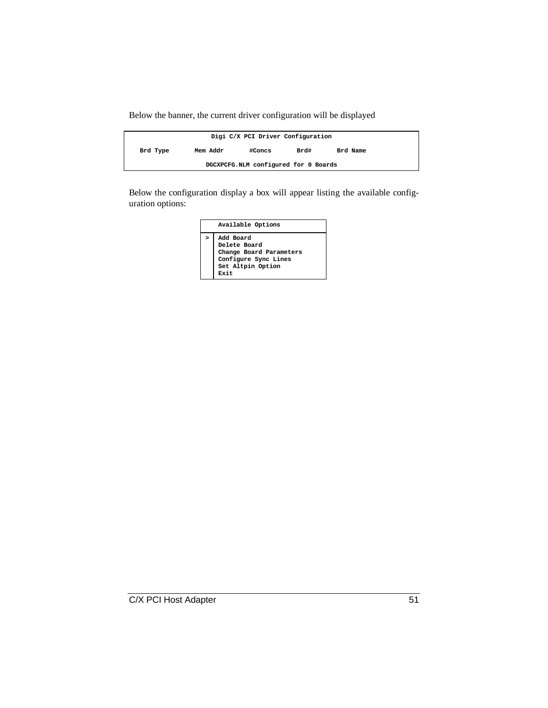Below the banner, the current driver configuration will be displayed

| Digi C/X PCI Driver Configuration    |          |        |      |          |  |  |  |  |
|--------------------------------------|----------|--------|------|----------|--|--|--|--|
| Brd Type                             | Mem Addr | #Concs | Brd# | Brd Name |  |  |  |  |
| DGCXPCFG.NLM configured for 0 Boards |          |        |      |          |  |  |  |  |

Below the configuration display a box will appear listing the available configuration options:

|        | Available Options                                                                                         |
|--------|-----------------------------------------------------------------------------------------------------------|
| $\geq$ | Add Board<br>Delete Board<br>Change Board Parameters<br>Configure Sync Lines<br>Set Altpin Option<br>Rvit |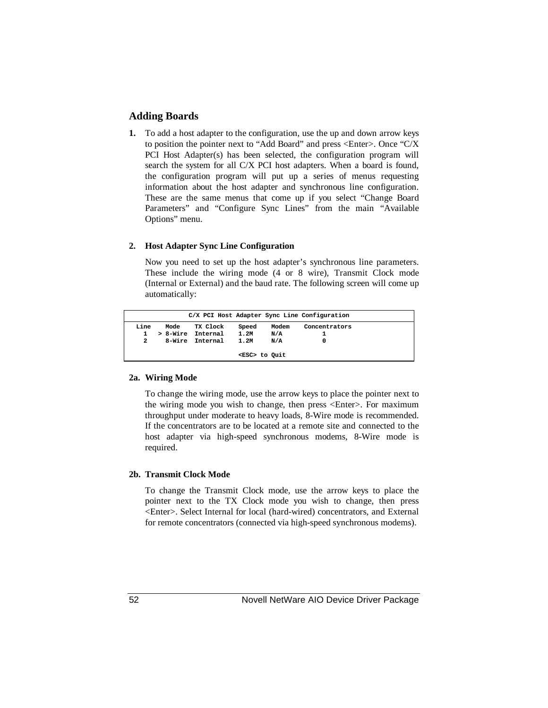#### **Adding Boards**

**1.** To add a host adapter to the configuration, use the up and down arrow keys to position the pointer next to "Add Board" and press <Enter>. Once "C/X PCI Host Adapter(s) has been selected, the configuration program will search the system for all C/X PCI host adapters. When a board is found, the configuration program will put up a series of menus requesting information about the host adapter and synchronous line configuration. These are the same menus that come up if you select "Change Board Parameters" and "Configure Sync Lines" from the main "Available Options" menu.

#### **2. Host Adapter Sync Line Configuration**

Now you need to set up the host adapter's synchronous line parameters. These include the wiring mode (4 or 8 wire), Transmit Clock mode (Internal or External) and the baud rate. The following screen will come up automatically:

|      |                 |          |          |                     |       | C/X PCI Host Adapter Sync Line Configuration |  |
|------|-----------------|----------|----------|---------------------|-------|----------------------------------------------|--|
| Line | Mode            |          | TX Clock | Speed               | Modem | Concentrators                                |  |
| 1    | > 8-Wire        | Internal |          | 1.2M                | N/A   |                                              |  |
| 2    | 8-Wire Internal |          |          | 1.2M                | N/A   |                                              |  |
|      |                 |          |          | <esc> to Quit</esc> |       |                                              |  |

#### **2a. Wiring Mode**

To change the wiring mode, use the arrow keys to place the pointer next to the wiring mode you wish to change, then press <Enter>. For maximum throughput under moderate to heavy loads, 8-Wire mode is recommended. If the concentrators are to be located at a remote site and connected to the host adapter via high-speed synchronous modems, 8-Wire mode is required.

#### **2b. Transmit Clock Mode**

To change the Transmit Clock mode, use the arrow keys to place the pointer next to the TX Clock mode you wish to change, then press <Enter>. Select Internal for local (hard-wired) concentrators, and External for remote concentrators (connected via high-speed synchronous modems).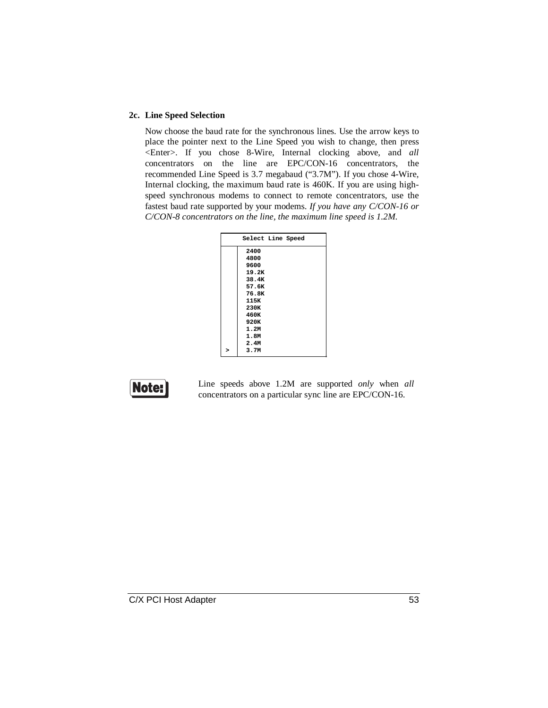#### **2c. Line Speed Selection**

Now choose the baud rate for the synchronous lines. Use the arrow keys to place the pointer next to the Line Speed you wish to change, then press <Enter>. If you chose 8-Wire, Internal clocking above, and *all* concentrators on the line are EPC/CON-16 concentrators, the recommended Line Speed is 3.7 megabaud ("3.7M"). If you chose 4-Wire, Internal clocking, the maximum baud rate is 460K. If you are using highspeed synchronous modems to connect to remote concentrators, use the fastest baud rate supported by your modems. *If you have any C/CON-16 or C/CON-8 concentrators on the line, the maximum line speed is 1.2M.*

| Select Line Speed |  |
|-------------------|--|
| 2400              |  |
| 4800              |  |
| 9600              |  |
| 19.2K             |  |
| 38.4K             |  |
| 57.6K             |  |
| 76.8K             |  |
| 115K              |  |
| 230K              |  |
| 460K              |  |
| 920K              |  |
| 1.2M              |  |
| 1.8M              |  |
| 2.4M              |  |
| 3.7M              |  |
|                   |  |

Note:

Line speeds above 1.2M are supported *only* when *all* concentrators on a particular sync line are EPC/CON-16.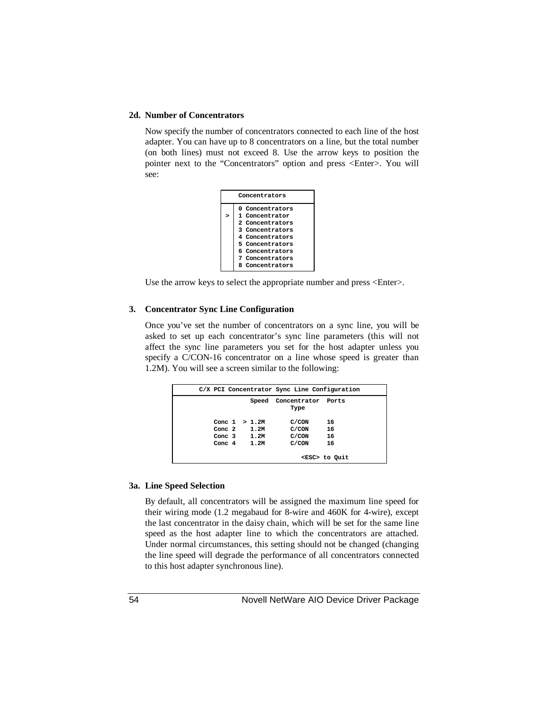#### **2d. Number of Concentrators**

Now specify the number of concentrators connected to each line of the host adapter. You can have up to 8 concentrators on a line, but the total number (on both lines) must not exceed 8. Use the arrow keys to position the pointer next to the "Concentrators" option and press <Enter>. You will see:

|        | Concentrators                                                                                                                                                          |  |  |  |  |  |  |  |  |
|--------|------------------------------------------------------------------------------------------------------------------------------------------------------------------------|--|--|--|--|--|--|--|--|
| $\geq$ | 0 Concentrators<br>1 Concentrator<br>2 Concentrators<br>3 Concentrators<br>4 Concentrators<br>5 Concentrators<br>6 Concentrators<br>7 Concentrators<br>8 Concentrators |  |  |  |  |  |  |  |  |

Use the arrow keys to select the appropriate number and press <Enter>.

#### **3. Concentrator Sync Line Configuration**

Once you've set the number of concentrators on a sync line, you will be asked to set up each concentrator's sync line parameters (this will not affect the sync line parameters you set for the host adapter unless you specify a C/CON-16 concentrator on a line whose speed is greater than 1.2M). You will see a screen similar to the following:

|  |                       | C/X PCI Concentrator Sync Line Configuration |                     |
|--|-----------------------|----------------------------------------------|---------------------|
|  |                       | Speed Concentrator Ports<br>Type             |                     |
|  | Conc $1 > 1.2M$       | C/CON                                        | 16                  |
|  | Conc $2 \t 1.2M$      | C/CON                                        | 16                  |
|  | Conc $3 \t 1.2M$      | C/CON                                        | 16                  |
|  | Conc. $4 \qquad 1.2M$ | C/CON                                        | 16                  |
|  |                       |                                              | <esc> to Quit</esc> |

#### **3a. Line Speed Selection**

By default, all concentrators will be assigned the maximum line speed for their wiring mode (1.2 megabaud for 8-wire and 460K for 4-wire), except the last concentrator in the daisy chain, which will be set for the same line speed as the host adapter line to which the concentrators are attached. Under normal circumstances, this setting should not be changed (changing the line speed will degrade the performance of all concentrators connected to this host adapter synchronous line).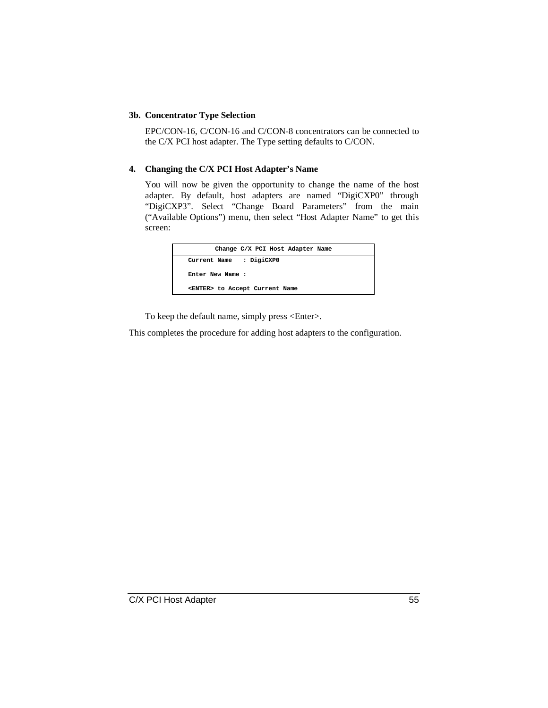#### **3b. Concentrator Type Selection**

EPC/CON-16, C/CON-16 and C/CON-8 concentrators can be connected to the C/X PCI host adapter. The Type setting defaults to C/CON.

#### **4. Changing the C/X PCI Host Adapter's Name**

You will now be given the opportunity to change the name of the host adapter. By default, host adapters are named "DigiCXP0" through "DigiCXP3". Select "Change Board Parameters" from the main ("Available Options") menu, then select "Host Adapter Name" to get this screen:

| Change C/X PCI Host Adapter Name       |  |
|----------------------------------------|--|
| Current Name : DigiCXP0                |  |
| Enter New Name :                       |  |
| <enter> to Accept Current Name</enter> |  |
|                                        |  |

To keep the default name, simply press <Enter>.

This completes the procedure for adding host adapters to the configuration.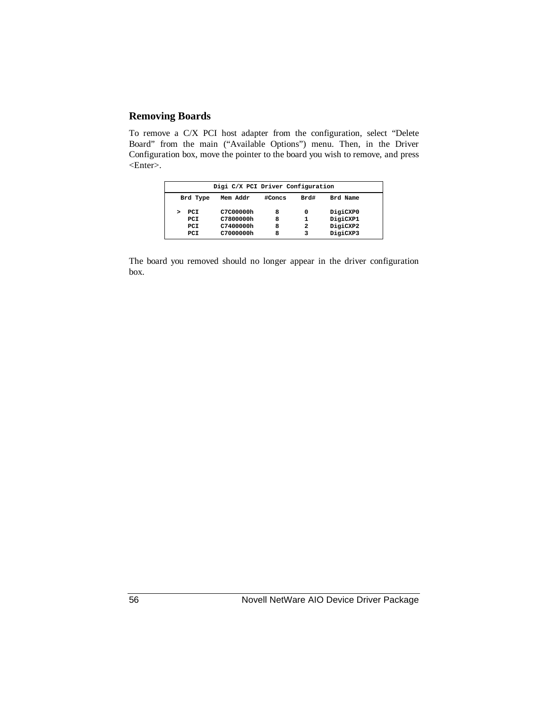### **Removing Boards**

To remove a C/X PCI host adapter from the configuration, select "Delete Board" from the main ("Available Options") menu. Then, in the Driver Configuration box, move the pointer to the board you wish to remove, and press <Enter>.

| Digi C/X PCI Driver Configuration                  |           |   |   |          |  |  |  |  |  |
|----------------------------------------------------|-----------|---|---|----------|--|--|--|--|--|
| Brd#<br>#Concs<br>Brd Name<br>Brd Type<br>Mem Addr |           |   |   |          |  |  |  |  |  |
| PCI                                                | C7C00000h | 8 | 0 | DigiCXP0 |  |  |  |  |  |
| PCI                                                | C7800000h | 8 |   | DigiCXP1 |  |  |  |  |  |
| PCI                                                | C7400000h | 8 | 2 | DigiCXP2 |  |  |  |  |  |
| PCI                                                | C7000000h | я | 3 | DigiCXP3 |  |  |  |  |  |

The board you removed should no longer appear in the driver configuration box.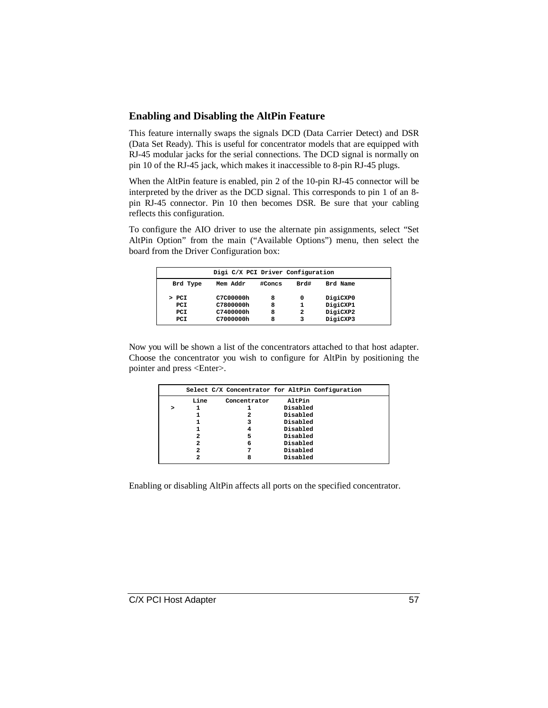#### **Enabling and Disabling the AltPin Feature**

This feature internally swaps the signals DCD (Data Carrier Detect) and DSR (Data Set Ready). This is useful for concentrator models that are equipped with RJ-45 modular jacks for the serial connections. The DCD signal is normally on pin 10 of the RJ-45 jack, which makes it inaccessible to 8-pin RJ-45 plugs.

When the AltPin feature is enabled, pin 2 of the 10-pin RJ-45 connector will be interpreted by the driver as the DCD signal. This corresponds to pin 1 of an 8 pin RJ-45 connector. Pin 10 then becomes DSR. Be sure that your cabling reflects this configuration.

To configure the AIO driver to use the alternate pin assignments, select "Set AltPin Option" from the main ("Available Options") menu, then select the board from the Driver Configuration box:

|          | Digi C/X PCI Driver Configuration |        |      |          |  |
|----------|-----------------------------------|--------|------|----------|--|
| Brd Type | Mem Addr                          | #Concs | Brd# | Brd Name |  |
| > PCI    | C7C00000h                         | 8      | 0    | DigiCXP0 |  |
| PCI      | C7800000h                         | 8      | 1    | DigiCXP1 |  |
| PCI      | C7400000h                         | 8      | 2    | DigiCXP2 |  |
| PCI      | C7000000h                         | 8      | 3    | DigiCXP3 |  |

Now you will be shown a list of the concentrators attached to that host adapter. Choose the concentrator you wish to configure for AltPin by positioning the pointer and press <Enter>.

|  |      |              | Select C/X Concentrator for AltPin Configuration |  |
|--|------|--------------|--------------------------------------------------|--|
|  | Line | Concentrator | AltPin                                           |  |
|  |      |              | Disabled                                         |  |
|  |      | 2            | Disabled                                         |  |
|  |      |              | Disabled                                         |  |
|  |      |              | Disabled                                         |  |
|  | 2    | 5            | Disabled                                         |  |
|  | 2    | 6            | Disabled                                         |  |
|  |      |              | Disabled                                         |  |
|  |      | я            | Disabled                                         |  |

Enabling or disabling AltPin affects all ports on the specified concentrator.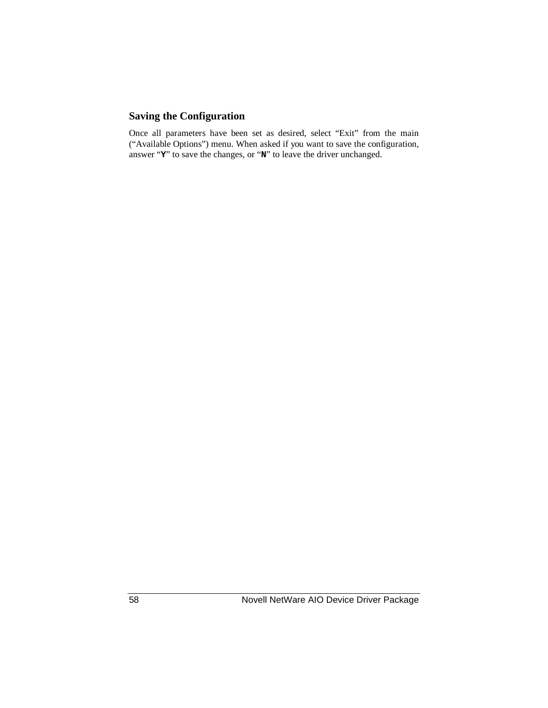### **Saving the Configuration**

Once all parameters have been set as desired, select "Exit" from the main ("Available Options") menu. When asked if you want to save the configuration, answer "**Y**" to save the changes, or "**N**" to leave the driver unchanged.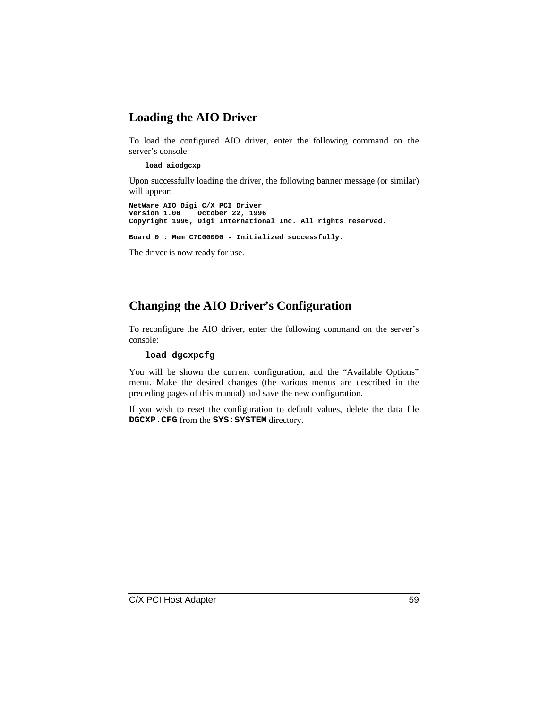## **Loading the AIO Driver**

To load the configured AIO driver, enter the following command on the server's console:

#### **load aiodgcxp**

Upon successfully loading the driver, the following banner message (or similar) will appear:

**NetWare AIO Digi C/X PCI Driver Version 1.00 October 22, 1996 Copyright 1996, Digi International Inc. All rights reserved. Board 0 : Mem C7C00000 - Initialized successfully.**

The driver is now ready for use.

## **Changing the AIO Driver's Configuration**

To reconfigure the AIO driver, enter the following command on the server's console:

#### **load dgcxpcfg**

You will be shown the current configuration, and the "Available Options" menu. Make the desired changes (the various menus are described in the preceding pages of this manual) and save the new configuration.

If you wish to reset the configuration to default values, delete the data file **DGCXP.CFG** from the **SYS:SYSTEM** directory.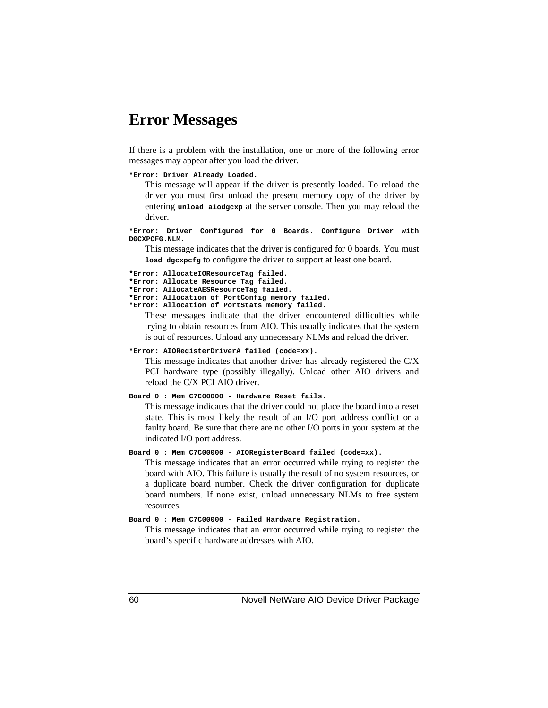## **Error Messages**

If there is a problem with the installation, one or more of the following error messages may appear after you load the driver.

#### **\*Error: Driver Already Loaded.**

This message will appear if the driver is presently loaded. To reload the driver you must first unload the present memory copy of the driver by entering **unload aiodgcxp** at the server console. Then you may reload the driver.

**\*Error: Driver Configured for 0 Boards. Configure Driver with DGCXPCFG.NLM.**

This message indicates that the driver is configured for 0 boards. You must **load dgcxpcfg** to configure the driver to support at least one board.

```
*Error: AllocateIOResourceTag failed.
*Error: Allocate Resource Tag failed.
*Error: AllocateAESResourceTag failed.
*Error: Allocation of PortConfig memory failed.
*Error: Allocation of PortStats memory failed.
   These messages indicate that the driver encountered difficulties while
```
trying to obtain resources from AIO. This usually indicates that the system is out of resources. Unload any unnecessary NLMs and reload the driver.

#### **\*Error: AIORegisterDriverA failed (code=xx).**

This message indicates that another driver has already registered the C/X PCI hardware type (possibly illegally). Unload other AIO drivers and reload the C/X PCI AIO driver.

#### **Board 0 : Mem C7C00000 - Hardware Reset fails.**

This message indicates that the driver could not place the board into a reset state. This is most likely the result of an I/O port address conflict or a faulty board. Be sure that there are no other I/O ports in your system at the indicated I/O port address.

#### **Board 0 : Mem C7C00000 - AIORegisterBoard failed (code=xx).**

This message indicates that an error occurred while trying to register the board with AIO. This failure is usually the result of no system resources, or a duplicate board number. Check the driver configuration for duplicate board numbers. If none exist, unload unnecessary NLMs to free system resources.

#### **Board 0 : Mem C7C00000 - Failed Hardware Registration.**

This message indicates that an error occurred while trying to register the board's specific hardware addresses with AIO.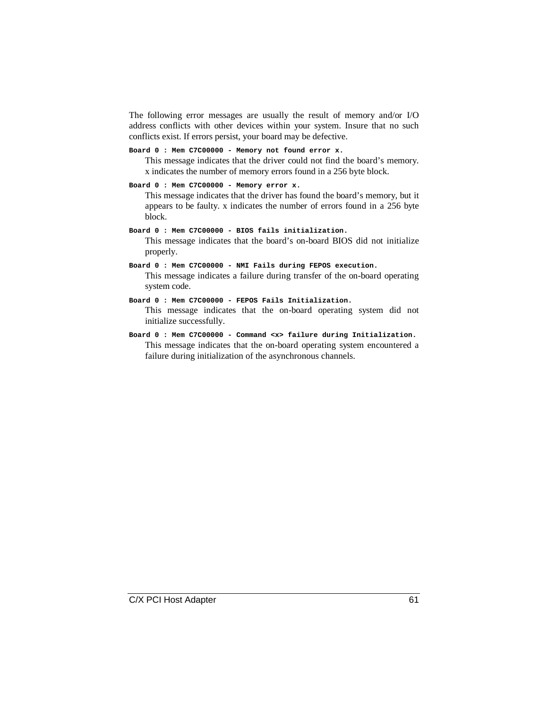The following error messages are usually the result of memory and/or I/O address conflicts with other devices within your system. Insure that no such conflicts exist. If errors persist, your board may be defective.

```
Board 0 : Mem C7C00000 - Memory not found error x.
```
This message indicates that the driver could not find the board's memory. x indicates the number of memory errors found in a 256 byte block.

```
Board 0 : Mem C7C00000 - Memory error x.
```
This message indicates that the driver has found the board's memory, but it appears to be faulty. x indicates the number of errors found in a 256 byte block.

**Board 0 : Mem C7C00000 - BIOS fails initialization.** This message indicates that the board's on-board BIOS did not initialize

properly.

```
Board 0 : Mem C7C00000 - NMI Fails during FEPOS execution.
```
This message indicates a failure during transfer of the on-board operating system code.

```
Board 0 : Mem C7C00000 - FEPOS Fails Initialization.
```
This message indicates that the on-board operating system did not initialize successfully.

```
Board 0 : Mem C7C00000 - Command <x> failure during Initialization.
    This message indicates that the on-board operating system encountered a
    failure during initialization of the asynchronous channels.
```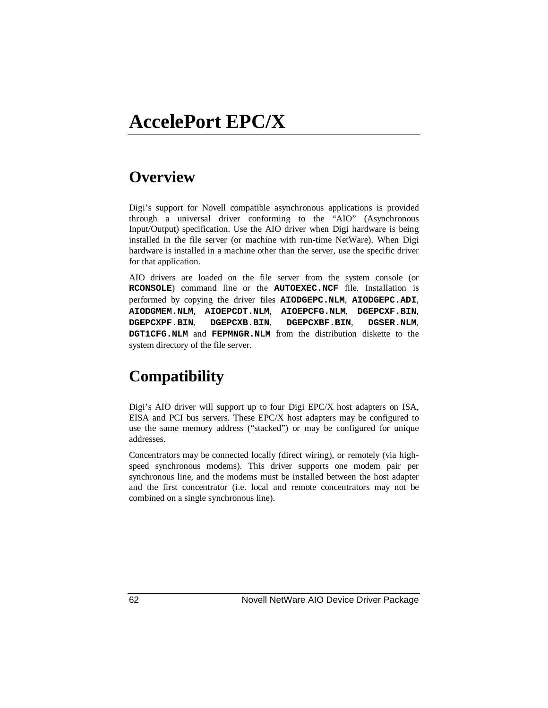## **Overview**

Digi's support for Novell compatible asynchronous applications is provided through a universal driver conforming to the "AIO" (Asynchronous Input/Output) specification. Use the AIO driver when Digi hardware is being installed in the file server (or machine with run-time NetWare). When Digi hardware is installed in a machine other than the server, use the specific driver for that application.

AIO drivers are loaded on the file server from the system console (or **RCONSOLE**) command line or the **AUTOEXEC.NCF** file. Installation is performed by copying the driver files **AIODGEPC.NLM**, **AIODGEPC.ADI**, **AIODGMEM.NLM**, **AIOEPCDT.NLM**, **AIOEPCFG.NLM**, **DGEPCXF.BIN**, **DGEPCXPF.BIN**, **DGEPCXB.BIN**, **DGEPCXBF.BIN**, **DGSER.NLM**, **DGT1CFG.NLM** and **FEPMNGR.NLM** from the distribution diskette to the system directory of the file server.

## **Compatibility**

Digi's AIO driver will support up to four Digi EPC/X host adapters on ISA, EISA and PCI bus servers. These EPC/X host adapters may be configured to use the same memory address ("stacked") or may be configured for unique addresses.

Concentrators may be connected locally (direct wiring), or remotely (via highspeed synchronous modems). This driver supports one modem pair per synchronous line, and the modems must be installed between the host adapter and the first concentrator (i.e. local and remote concentrators may not be combined on a single synchronous line).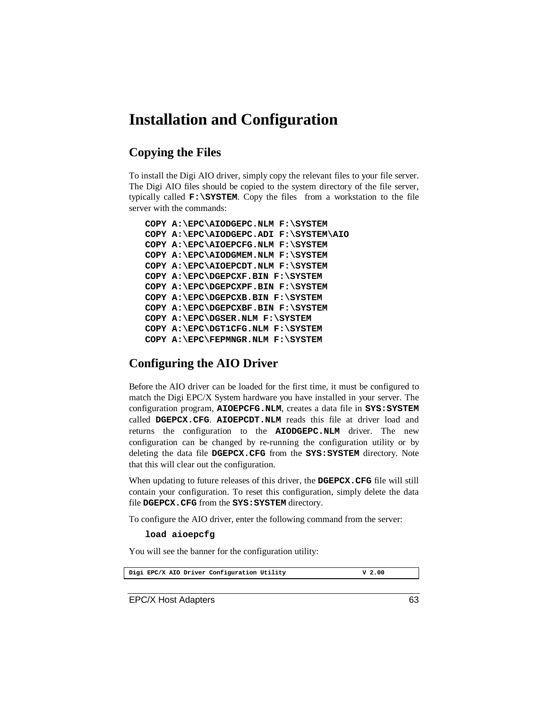## **Installation and Configuration**

### **Copying the Files**

To install the Digi AIO driver, simply copy the relevant files to your file server. The Digi AIO files should be copied to the system directory of the file server, typically called **F:\SYSTEM**. Copy the files from a workstation to the file server with the commands:

```
COPY A:\EPC\AIODGEPC.NLM F:\SYSTEM
COPY A:\EPC\AIODGEPC.ADI F:\SYSTEM\AIO
COPY A:\EPC\AIOEPCFG.NLM F:\SYSTEM
COPY A:\EPC\AIODGMEM.NLM F:\SYSTEM
COPY A:\EPC\AIOEPCDT.NLM F:\SYSTEM
COPY A:\EPC\DGEPCXF.BIN F:\SYSTEM
COPY A:\EPC\DGEPCXPF.BIN F:\SYSTEM
COPY A:\EPC\DGEPCXB.BIN F:\SYSTEM
COPY A:\EPC\DGEPCXBF.BIN F:\SYSTEM
COPY A:\EPC\DGSER.NLM F:\SYSTEM
COPY A:\EPC\DGT1CFG.NLM F:\SYSTEM
COPY A:\EPC\FEPMNGR.NLM F:\SYSTEM
```
## **Configuring the AIO Driver**

Before the AIO driver can be loaded for the first time, it must be configured to match the Digi EPC/X System hardware you have installed in your server. The configuration program, **AIOEPCFG.NLM**, creates a data file in **SYS:SYSTEM** called **DGEPCX.CFG**. **AIOEPCDT.NLM** reads this file at driver load and returns the configuration to the **AIODGEPC.NLM** driver. The new configuration can be changed by re-running the configuration utility or by deleting the data file **DGEPCX.CFG** from the **SYS:SYSTEM** directory. Note that this will clear out the configuration.

When updating to future releases of this driver, the **DGEPCX.CFG** file will still contain your configuration. To reset this configuration, simply delete the data file **DGEPCX.CFG** from the **SYS:SYSTEM** directory.

To configure the AIO driver, enter the following command from the server:

#### **load aioepcfg**

You will see the banner for the configuration utility:

Digi EPC/X AIO Driver Configuration Utility **V** 2.00

EPC/X Host Adapters 63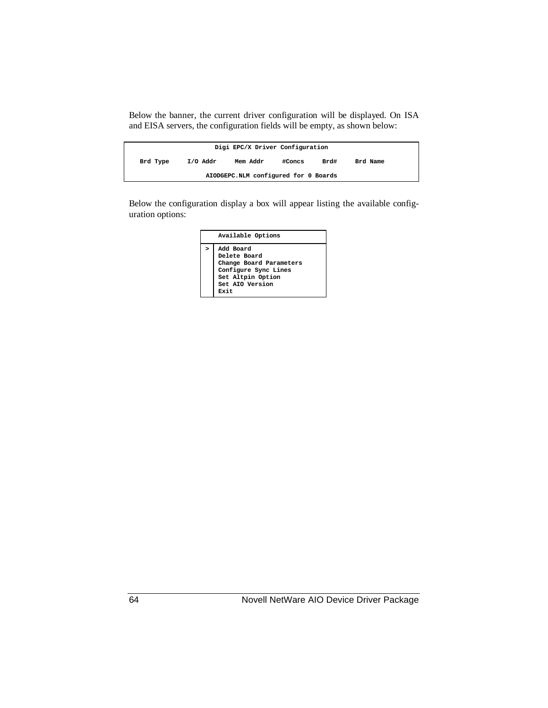Below the banner, the current driver configuration will be displayed. On ISA and EISA servers, the configuration fields will be empty, as shown below:

| Digi EPC/X Driver Configuration      |          |          |        |      |          |  |  |  |
|--------------------------------------|----------|----------|--------|------|----------|--|--|--|
| Brd Type                             | I/O Addr | Mem Addr | #Concs | Brd# | Brd Name |  |  |  |
| AIODGEPC.NLM configured for 0 Boards |          |          |        |      |          |  |  |  |

Below the configuration display a box will appear listing the available configuration options:

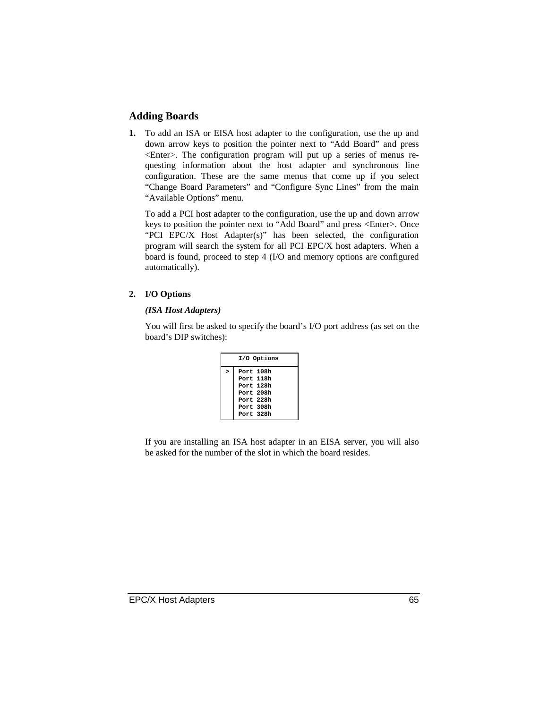### **Adding Boards**

**1.** To add an ISA or EISA host adapter to the configuration, use the up and down arrow keys to position the pointer next to "Add Board" and press <Enter>. The configuration program will put up a series of menus requesting information about the host adapter and synchronous line configuration. These are the same menus that come up if you select "Change Board Parameters" and "Configure Sync Lines" from the main "Available Options" menu.

To add a PCI host adapter to the configuration, use the up and down arrow keys to position the pointer next to "Add Board" and press <Enter>. Once "PCI EPC/X Host Adapter(s)" has been selected, the configuration program will search the system for all PCI EPC/X host adapters. When a board is found, proceed to step 4 (I/O and memory options are configured automatically).

#### **2. I/O Options**

#### *(ISA Host Adapters)*

You will first be asked to specify the board's I/O port address (as set on the board's DIP switches):

| I/O Options |             |  |  |  |  |  |  |  |
|-------------|-------------|--|--|--|--|--|--|--|
| >           | Port 108h   |  |  |  |  |  |  |  |
|             | Port 118h   |  |  |  |  |  |  |  |
|             | Port 128h   |  |  |  |  |  |  |  |
|             | Port $208h$ |  |  |  |  |  |  |  |
|             | Port $228h$ |  |  |  |  |  |  |  |
|             | Port 308h   |  |  |  |  |  |  |  |
|             | Port 328h   |  |  |  |  |  |  |  |

If you are installing an ISA host adapter in an EISA server, you will also be asked for the number of the slot in which the board resides.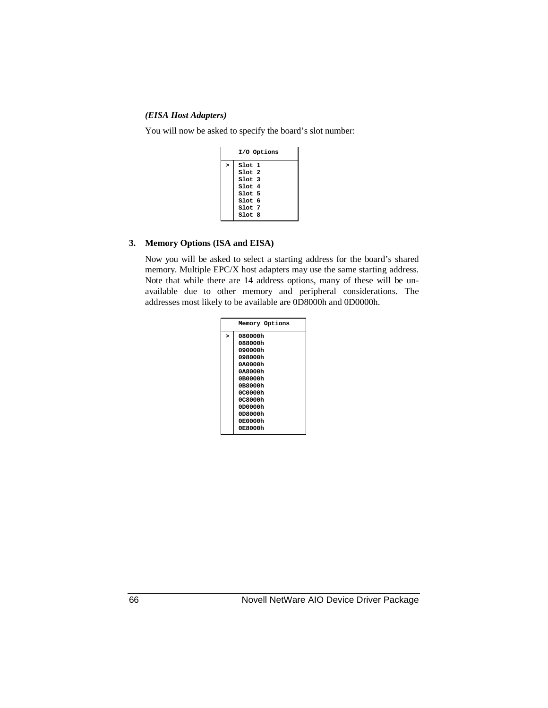#### *(EISA Host Adapters)*

You will now be asked to specify the board's slot number:

|   | I/O Options                                                                      |
|---|----------------------------------------------------------------------------------|
| > | Slot 1<br>$S1$ ot $2$<br>$S1$ ot $3$<br>$S1$ ot 4<br>Slot 5<br>Slot <sub>6</sub> |
|   | Slot 7<br>$S1$ ot 8                                                              |

#### **3. Memory Options (ISA and EISA)**

Now you will be asked to select a starting address for the board's shared memory. Multiple EPC/X host adapters may use the same starting address. Note that while there are 14 address options, many of these will be unavailable due to other memory and peripheral considerations. The addresses most likely to be available are 0D8000h and 0D0000h.

|   | Memory Options |
|---|----------------|
| 5 | 080000h        |
|   | 088000h        |
|   | 090000h        |
|   | 098000b        |
|   | 040000h        |
|   | 0A8000h        |
|   | 0B0000h        |
|   | 0B8000h        |
|   | 0C0000h        |
|   | 0C8000h        |
|   | 0D0000h        |
|   | 0D8000h        |
|   | 0E0000h        |
|   | 0E8000h        |
|   |                |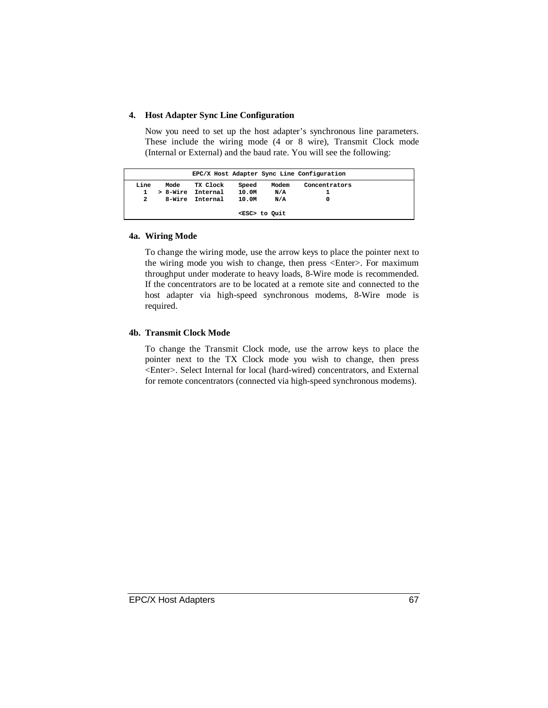#### **4. Host Adapter Sync Line Configuration**

Now you need to set up the host adapter's synchronous line parameters. These include the wiring mode (4 or 8 wire), Transmit Clock mode (Internal or External) and the baud rate. You will see the following:

|      |          |          |       |                     | EPC/X Host Adapter Sync Line Configuration |  |
|------|----------|----------|-------|---------------------|--------------------------------------------|--|
| Line | Mode     | TX Clock | Speed | Modem               | Concentrators                              |  |
|      | > 8-Wire | Internal | 10.0M | N/A                 |                                            |  |
| 2    | 8-Wire   | Internal | 10.0M | N/A                 |                                            |  |
|      |          |          |       | <esc> to Quit</esc> |                                            |  |

#### **4a. Wiring Mode**

To change the wiring mode, use the arrow keys to place the pointer next to the wiring mode you wish to change, then press <Enter>. For maximum throughput under moderate to heavy loads, 8-Wire mode is recommended. If the concentrators are to be located at a remote site and connected to the host adapter via high-speed synchronous modems, 8-Wire mode is required.

#### **4b. Transmit Clock Mode**

To change the Transmit Clock mode, use the arrow keys to place the pointer next to the TX Clock mode you wish to change, then press <Enter>. Select Internal for local (hard-wired) concentrators, and External for remote concentrators (connected via high-speed synchronous modems).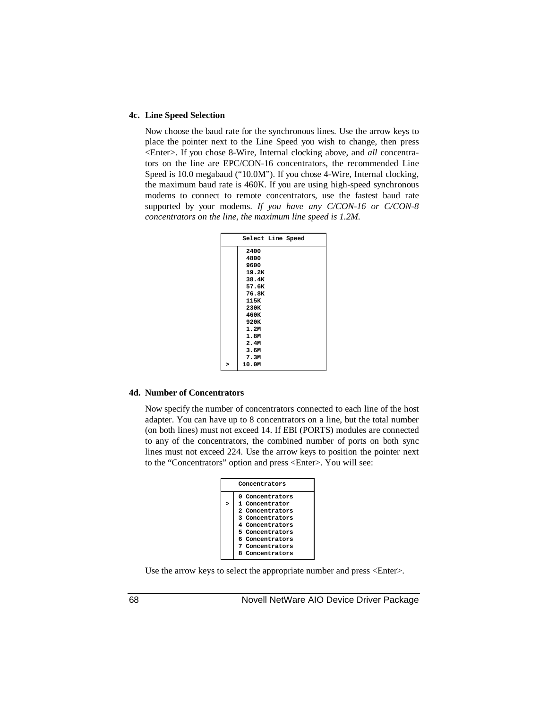#### **4c. Line Speed Selection**

Now choose the baud rate for the synchronous lines. Use the arrow keys to place the pointer next to the Line Speed you wish to change, then press <Enter>. If you chose 8-Wire, Internal clocking above, and *all* concentrators on the line are EPC/CON-16 concentrators, the recommended Line Speed is 10.0 megabaud ("10.0M"). If you chose 4-Wire, Internal clocking, the maximum baud rate is 460K. If you are using high-speed synchronous modems to connect to remote concentrators, use the fastest baud rate supported by your modems. *If you have any C/CON-16 or C/CON-8 concentrators on the line, the maximum line speed is 1.2M.*

| Select Line Speed |  |
|-------------------|--|
| 2400              |  |
| 4800              |  |
| 9600              |  |
| 19.2K             |  |
| 38.4K             |  |
| 57.6K             |  |
| 76.8K             |  |
| 115K              |  |
| 230K              |  |
| 460K              |  |
| 920K              |  |
| 1.2M              |  |
| 1.8M              |  |
| 2.4M              |  |
| 3.6M              |  |
| 7.3M              |  |
| 10.0M             |  |

#### **4d. Number of Concentrators**

Now specify the number of concentrators connected to each line of the host adapter. You can have up to 8 concentrators on a line, but the total number (on both lines) must not exceed 14. If EBI (PORTS) modules are connected to any of the concentrators, the combined number of ports on both sync lines must not exceed 224. Use the arrow keys to position the pointer next to the "Concentrators" option and press <Enter>. You will see:

| Concentrators |                                                                                                                                                                        |  |  |  |  |  |
|---------------|------------------------------------------------------------------------------------------------------------------------------------------------------------------------|--|--|--|--|--|
| >             | 0 Concentrators<br>1 Concentrator<br>2 Concentrators<br>3 Concentrators<br>4 Concentrators<br>5 Concentrators<br>6 Concentrators<br>7 Concentrators<br>8 Concentrators |  |  |  |  |  |

Use the arrow keys to select the appropriate number and press <Enter>.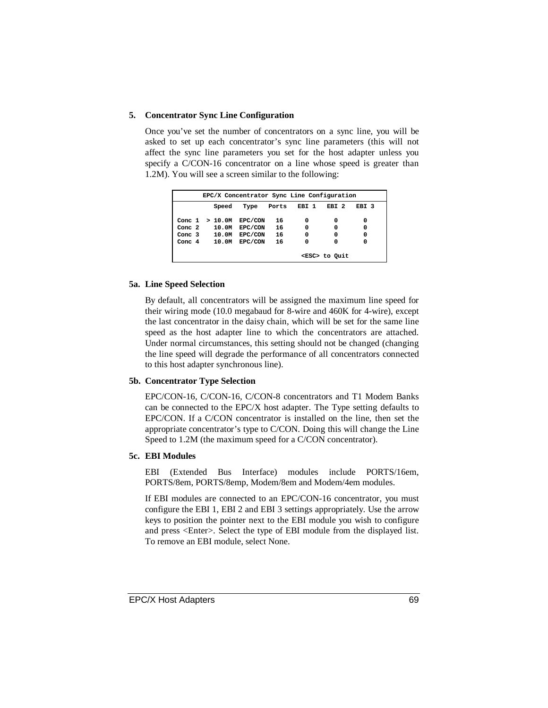#### **5. Concentrator Sync Line Configuration**

Once you've set the number of concentrators on a sync line, you will be asked to set up each concentrator's sync line parameters (this will not affect the sync line parameters you set for the host adapter unless you specify a C/CON-16 concentrator on a line whose speed is greater than 1.2M). You will see a screen similar to the following:

| EPC/X Concentrator Sync Line Configuration |                  |               |       |       |                  |       |
|--------------------------------------------|------------------|---------------|-------|-------|------------------|-------|
|                                            | Speed            | Type          | Ports | EBI 1 | EBI <sub>2</sub> | EBI 3 |
|                                            | Conc $1 > 10.0M$ | EPC/CON       | 16    | 0     | 0                | 0     |
| Conc. $2$                                  |                  | 10.0M EPC/CON | 16    | 0     | 0                | 0     |
| Conc. $3$                                  | 10.0M            | EPC/CON       | 16    | 0     | 0                | 0     |
| Conc. $4$                                  | 10.0M            | EPC/CON       | 16    | 0     | 0                | 0     |
| <esc> to Quit</esc>                        |                  |               |       |       |                  |       |

#### **5a. Line Speed Selection**

By default, all concentrators will be assigned the maximum line speed for their wiring mode (10.0 megabaud for 8-wire and 460K for 4-wire), except the last concentrator in the daisy chain, which will be set for the same line speed as the host adapter line to which the concentrators are attached. Under normal circumstances, this setting should not be changed (changing the line speed will degrade the performance of all concentrators connected to this host adapter synchronous line).

#### **5b. Concentrator Type Selection**

EPC/CON-16, C/CON-16, C/CON-8 concentrators and T1 Modem Banks can be connected to the EPC/X host adapter. The Type setting defaults to EPC/CON. If a C/CON concentrator is installed on the line, then set the appropriate concentrator's type to C/CON. Doing this will change the Line Speed to 1.2M (the maximum speed for a C/CON concentrator).

#### **5c. EBI Modules**

EBI (Extended Bus Interface) modules include PORTS/16em, PORTS/8em, PORTS/8emp, Modem/8em and Modem/4em modules.

If EBI modules are connected to an EPC/CON-16 concentrator, you must configure the EBI 1, EBI 2 and EBI 3 settings appropriately. Use the arrow keys to position the pointer next to the EBI module you wish to configure and press <Enter>. Select the type of EBI module from the displayed list. To remove an EBI module, select None.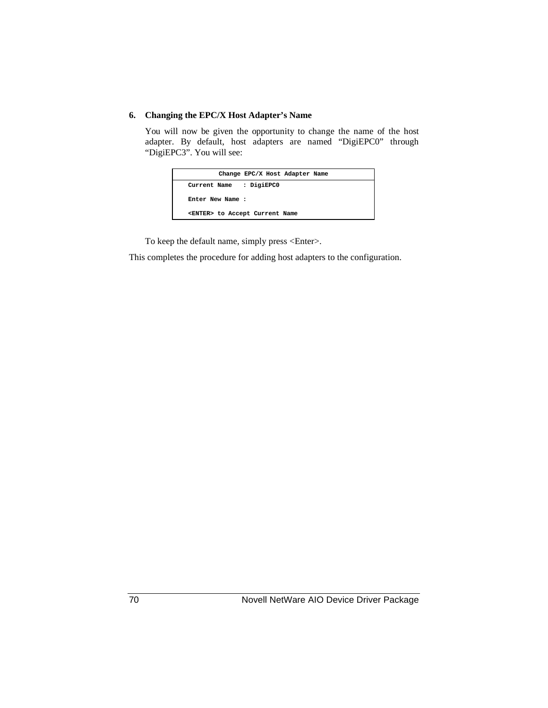#### **6. Changing the EPC/X Host Adapter's Name**

You will now be given the opportunity to change the name of the host adapter. By default, host adapters are named "DigiEPC0" through "DigiEPC3". You will see:

| Change EPC/X Host Adapter Name         |  |
|----------------------------------------|--|
| Current Name : DigiEPC0                |  |
| Enter New Name :                       |  |
| <enter> to Accept Current Name</enter> |  |

To keep the default name, simply press <Enter>.

This completes the procedure for adding host adapters to the configuration.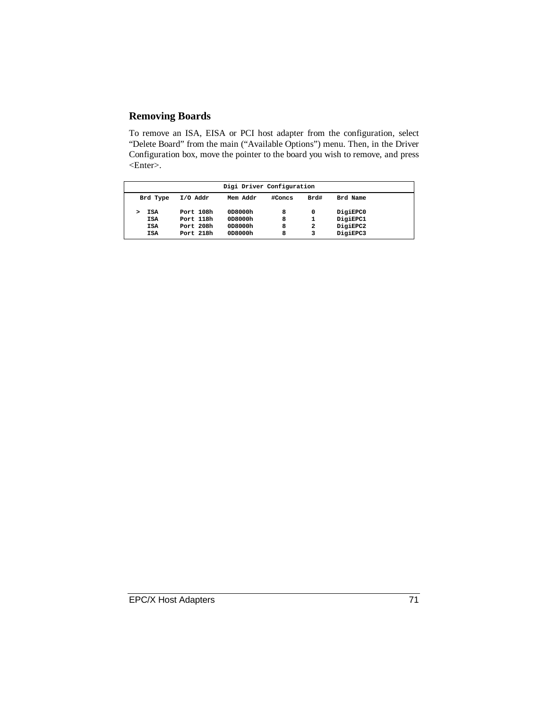### **Removing Boards**

To remove an ISA, EISA or PCI host adapter from the configuration, select "Delete Board" from the main ("Available Options") menu. Then, in the Driver Configuration box, move the pointer to the board you wish to remove, and press <Enter>.

| Digi Driver Configuration              |                                     |                               |             |                          |                                  |  |
|----------------------------------------|-------------------------------------|-------------------------------|-------------|--------------------------|----------------------------------|--|
| Brd Type                               | $I/O$ Addr                          | Mem Addr                      | #Concs      | Brd#                     | Brd Name                         |  |
| <b>ISA</b><br><b>ISA</b><br><b>ISA</b> | Port 108h<br>Port 118h<br>Port 208h | 0D8000h<br>0D8000h<br>0D8000h | 8<br>8<br>8 | 0<br>1<br>$\overline{a}$ | DigiEPC0<br>DigiEPC1<br>DigiEPC2 |  |
| <b>ISA</b>                             | Port 218h                           | 0D8000h                       | 8           | 3                        | DigiEPC3                         |  |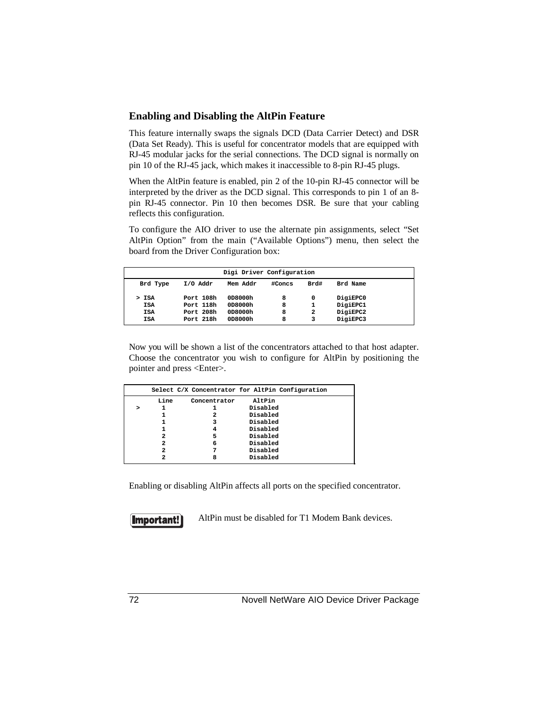#### **Enabling and Disabling the AltPin Feature**

This feature internally swaps the signals DCD (Data Carrier Detect) and DSR (Data Set Ready). This is useful for concentrator models that are equipped with RJ-45 modular jacks for the serial connections. The DCD signal is normally on pin 10 of the RJ-45 jack, which makes it inaccessible to 8-pin RJ-45 plugs.

When the AltPin feature is enabled, pin 2 of the 10-pin RJ-45 connector will be interpreted by the driver as the DCD signal. This corresponds to pin 1 of an 8 pin RJ-45 connector. Pin 10 then becomes DSR. Be sure that your cabling reflects this configuration.

To configure the AIO driver to use the alternate pin assignments, select "Set AltPin Option" from the main ("Available Options") menu, then select the board from the Driver Configuration box:

| Digi Driver Configuration |           |          |        |      |          |  |
|---------------------------|-----------|----------|--------|------|----------|--|
| Brd Type                  | I/O Addr  | Mem Addr | #Concs | Brd# | Brd Name |  |
| > ISA                     | Port 108h | 0D8000h  | 8      | 0    | DigiEPC0 |  |
| <b>ISA</b>                | Port 118h | 0D8000h  | 8      | 1    | DigiEPC1 |  |
| <b>ISA</b>                | Port 208h | 0D8000h  | 8      | 2    | DigiEPC2 |  |
| <b>ISA</b>                | Port 218h | 0D8000h  | 8      | 3    | DigiEPC3 |  |

Now you will be shown a list of the concentrators attached to that host adapter. Choose the concentrator you wish to configure for AltPin by positioning the pointer and press <Enter>.

|      |              | Select C/X Concentrator for AltPin Configuration |  |
|------|--------------|--------------------------------------------------|--|
| Line | Concentrator | AltPin                                           |  |
|      |              | Disabled                                         |  |
|      | 2            | Disabled                                         |  |
|      | 3            | Disabled                                         |  |
|      | 4            | Disabled                                         |  |
| 2    | 5            | Disabled                                         |  |
| 2    | 6            | Disabled                                         |  |
| 2    | 7            | Disabled                                         |  |
| 2    | 8            | Disabled                                         |  |

Enabling or disabling AltPin affects all ports on the specified concentrator.



AltPin must be disabled for T1 Modem Bank devices.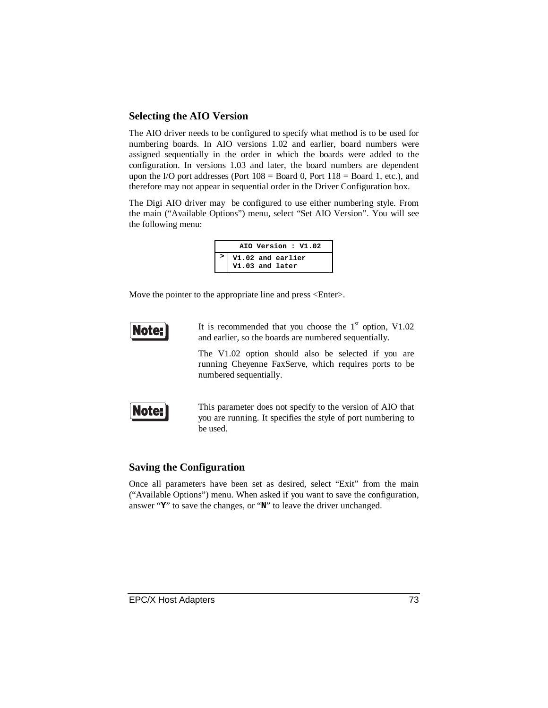#### **Selecting the AIO Version**

The AIO driver needs to be configured to specify what method is to be used for numbering boards. In AIO versions 1.02 and earlier, board numbers were assigned sequentially in the order in which the boards were added to the configuration. In versions 1.03 and later, the board numbers are dependent upon the I/O port addresses (Port  $108 =$  Board 0, Port  $118 =$  Board 1, etc.), and therefore may not appear in sequential order in the Driver Configuration box.

The Digi AIO driver may be configured to use either numbering style. From the main ("Available Options") menu, select "Set AIO Version". You will see the following menu:

| AIO Version: V1.02 |                                      |  |
|--------------------|--------------------------------------|--|
|                    | V1.02 and earlier<br>V1.03 and later |  |

Move the pointer to the appropriate line and press <Enter>.



It is recommended that you choose the  $1<sup>st</sup>$  option, V1.02 and earlier, so the boards are numbered sequentially.

The V1.02 option should also be selected if you are running Cheyenne FaxServe, which requires ports to be numbered sequentially.



This parameter does not specify to the version of AIO that you are running. It specifies the style of port numbering to be used.

#### **Saving the Configuration**

Once all parameters have been set as desired, select "Exit" from the main ("Available Options") menu. When asked if you want to save the configuration, answer "**Y**" to save the changes, or "**N**" to leave the driver unchanged.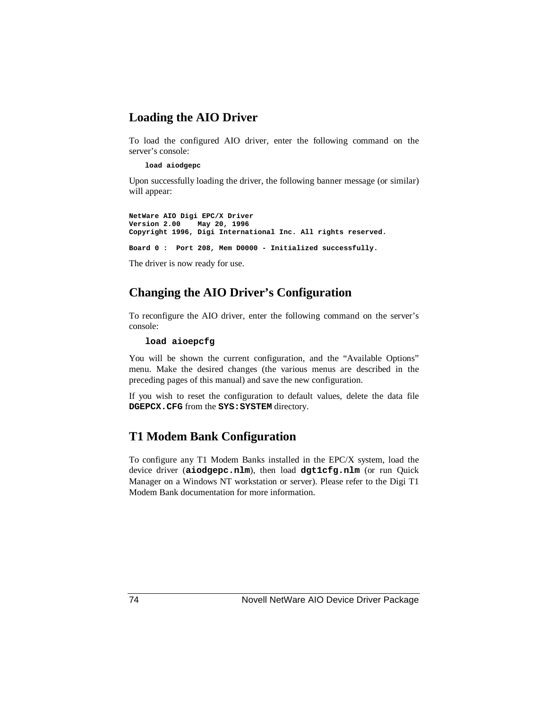### **Loading the AIO Driver**

To load the configured AIO driver, enter the following command on the server's console:

#### **load aiodgepc**

Upon successfully loading the driver, the following banner message (or similar) will appear:

**NetWare AIO Digi EPC/X Driver Version 2.00 May 20, 1996 Copyright 1996, Digi International Inc. All rights reserved.**

**Board 0 : Port 208, Mem D0000 - Initialized successfully.**

The driver is now ready for use.

### **Changing the AIO Driver's Configuration**

To reconfigure the AIO driver, enter the following command on the server's console:

#### **load aioepcfg**

You will be shown the current configuration, and the "Available Options" menu. Make the desired changes (the various menus are described in the preceding pages of this manual) and save the new configuration.

If you wish to reset the configuration to default values, delete the data file **DGEPCX.CFG** from the **SYS:SYSTEM** directory.

### **T1 Modem Bank Configuration**

To configure any T1 Modem Banks installed in the EPC/X system, load the device driver (**aiodgepc.nlm**), then load **dgt1cfg.nlm** (or run Quick Manager on a Windows NT workstation or server). Please refer to the Digi T1 Modem Bank documentation for more information.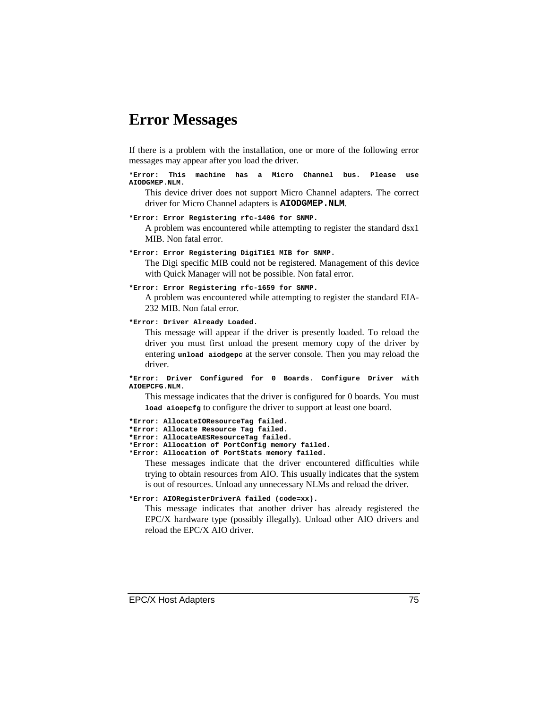## **Error Messages**

If there is a problem with the installation, one or more of the following error messages may appear after you load the driver.

**\*Error: This machine has a Micro Channel bus. Please use AIODGMEP.NLM.**

This device driver does not support Micro Channel adapters. The correct driver for Micro Channel adapters is **AIODGMEP.NLM**.

**\*Error: Error Registering rfc-1406 for SNMP.**

A problem was encountered while attempting to register the standard dsx1 MIB. Non fatal error.

**\*Error: Error Registering DigiT1E1 MIB for SNMP.**

The Digi specific MIB could not be registered. Management of this device with Quick Manager will not be possible. Non fatal error.

#### **\*Error: Error Registering rfc-1659 for SNMP.**

A problem was encountered while attempting to register the standard EIA-232 MIB. Non fatal error.

**\*Error: Driver Already Loaded.**

This message will appear if the driver is presently loaded. To reload the driver you must first unload the present memory copy of the driver by entering **unload aiodgepc** at the server console. Then you may reload the driver.

**\*Error: Driver Configured for 0 Boards. Configure Driver with AIOEPCFG.NLM.**

This message indicates that the driver is configured for 0 boards. You must **load aioepcfg** to configure the driver to support at least one board.

**\*Error: AllocateIOResourceTag failed. \*Error: Allocate Resource Tag failed. \*Error: AllocateAESResourceTag failed. \*Error: Allocation of PortConfig memory failed. \*Error: Allocation of PortStats memory failed.**

These messages indicate that the driver encountered difficulties while trying to obtain resources from AIO. This usually indicates that the system is out of resources. Unload any unnecessary NLMs and reload the driver.

#### **\*Error: AIORegisterDriverA failed (code=xx).**

This message indicates that another driver has already registered the EPC/X hardware type (possibly illegally). Unload other AIO drivers and reload the EPC/X AIO driver.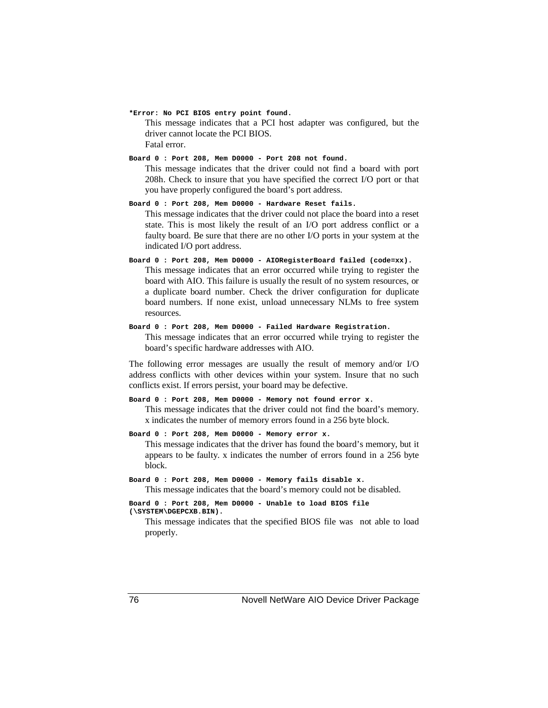**\*Error: No PCI BIOS entry point found.**

This message indicates that a PCI host adapter was configured, but the driver cannot locate the PCI BIOS.

Fatal error.

**Board 0 : Port 208, Mem D0000 - Port 208 not found.**

This message indicates that the driver could not find a board with port 208h. Check to insure that you have specified the correct I/O port or that you have properly configured the board's port address.

**Board 0 : Port 208, Mem D0000 - Hardware Reset fails.** This message indicates that the driver could not place the board into a reset state. This is most likely the result of an I/O port address conflict or a faulty board. Be sure that there are no other I/O ports in your system at the indicated I/O port address.

**Board 0 : Port 208, Mem D0000 - AIORegisterBoard failed (code=xx).** This message indicates that an error occurred while trying to register the board with AIO. This failure is usually the result of no system resources, or a duplicate board number. Check the driver configuration for duplicate board numbers. If none exist, unload unnecessary NLMs to free system resources.

**Board 0 : Port 208, Mem D0000 - Failed Hardware Registration.** This message indicates that an error occurred while trying to register the board's specific hardware addresses with AIO.

The following error messages are usually the result of memory and/or I/O address conflicts with other devices within your system. Insure that no such conflicts exist. If errors persist, your board may be defective.

**Board 0 : Port 208, Mem D0000 - Memory not found error x.** This message indicates that the driver could not find the board's memory. x indicates the number of memory errors found in a 256 byte block.

```
Board 0 : Port 208, Mem D0000 - Memory error x.
```
This message indicates that the driver has found the board's memory, but it appears to be faulty. x indicates the number of errors found in a 256 byte block.

```
Board 0 : Port 208, Mem D0000 - Memory fails disable x.
    This message indicates that the board's memory could not be disabled.
```

```
Board 0 : Port 208, Mem D0000 - Unable to load BIOS file
(\SYSTEM\DGEPCXB.BIN).
```
This message indicates that the specified BIOS file was not able to load properly.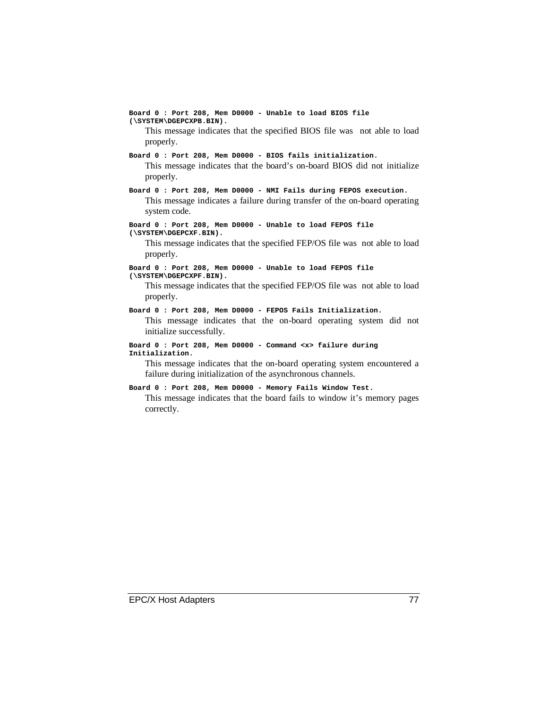**Board 0 : Port 208, Mem D0000 - Unable to load BIOS file (\SYSTEM\DGEPCXPB.BIN).** This message indicates that the specified BIOS file was not able to load properly. **Board 0 : Port 208, Mem D0000 - BIOS fails initialization.** This message indicates that the board's on-board BIOS did not initialize properly. **Board 0 : Port 208, Mem D0000 - NMI Fails during FEPOS execution.** This message indicates a failure during transfer of the on-board operating system code. **Board 0 : Port 208, Mem D0000 - Unable to load FEPOS file (\SYSTEM\DGEPCXF.BIN).** This message indicates that the specified FEP/OS file was not able to load properly. **Board 0 : Port 208, Mem D0000 - Unable to load FEPOS file (\SYSTEM\DGEPCXPF.BIN).** This message indicates that the specified FEP/OS file was not able to load properly. **Board 0 : Port 208, Mem D0000 - FEPOS Fails Initialization.** This message indicates that the on-board operating system did not initialize successfully. **Board 0 : Port 208, Mem D0000 - Command <x> failure during Initialization.** This message indicates that the on-board operating system encountered a failure during initialization of the asynchronous channels.

**Board 0 : Port 208, Mem D0000 - Memory Fails Window Test.** This message indicates that the board fails to window it's memory pages correctly.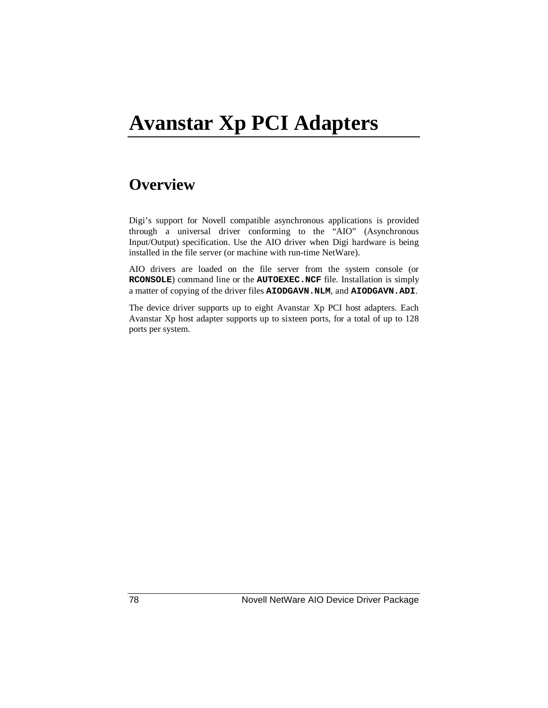# **Avanstar Xp PCI Adapters**

# **Overview**

Digi's support for Novell compatible asynchronous applications is provided through a universal driver conforming to the "AIO" (Asynchronous Input/Output) specification. Use the AIO driver when Digi hardware is being installed in the file server (or machine with run-time NetWare).

AIO drivers are loaded on the file server from the system console (or **RCONSOLE**) command line or the **AUTOEXEC.NCF** file. Installation is simply a matter of copying of the driver files **AIODGAVN.NLM**, and **AIODGAVN.ADI**.

The device driver supports up to eight Avanstar Xp PCI host adapters. Each Avanstar Xp host adapter supports up to sixteen ports, for a total of up to 128 ports per system.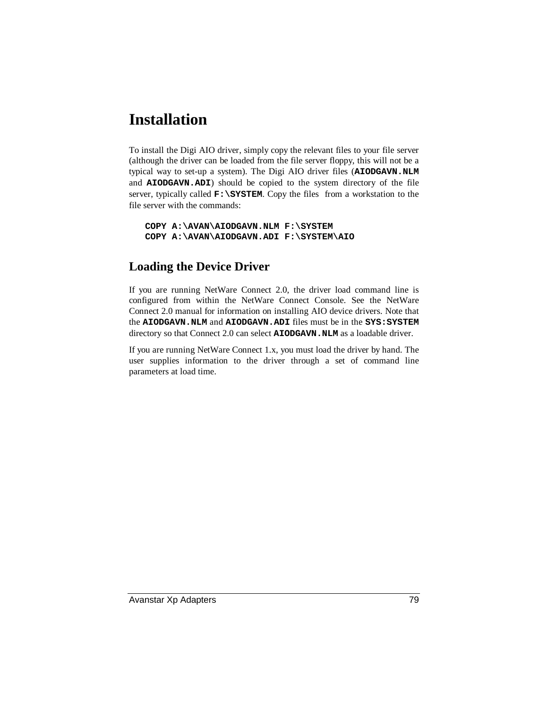# **Installation**

To install the Digi AIO driver, simply copy the relevant files to your file server (although the driver can be loaded from the file server floppy, this will not be a typical way to set-up a system). The Digi AIO driver files (**AIODGAVN.NLM** and **AIODGAVN.ADI**) should be copied to the system directory of the file server, typically called **F:\SYSTEM**. Copy the files from a workstation to the file server with the commands:

```
COPY A:\AVAN\AIODGAVN.NLM F:\SYSTEM
COPY A:\AVAN\AIODGAVN.ADI F:\SYSTEM\AIO
```
### **Loading the Device Driver**

If you are running NetWare Connect 2.0, the driver load command line is configured from within the NetWare Connect Console. See the NetWare Connect 2.0 manual for information on installing AIO device drivers. Note that the **AIODGAVN.NLM** and **AIODGAVN.ADI** files must be in the **SYS:SYSTEM** directory so that Connect 2.0 can select **AIODGAVN.NLM** as a loadable driver.

If you are running NetWare Connect 1.x, you must load the driver by hand. The user supplies information to the driver through a set of command line parameters at load time.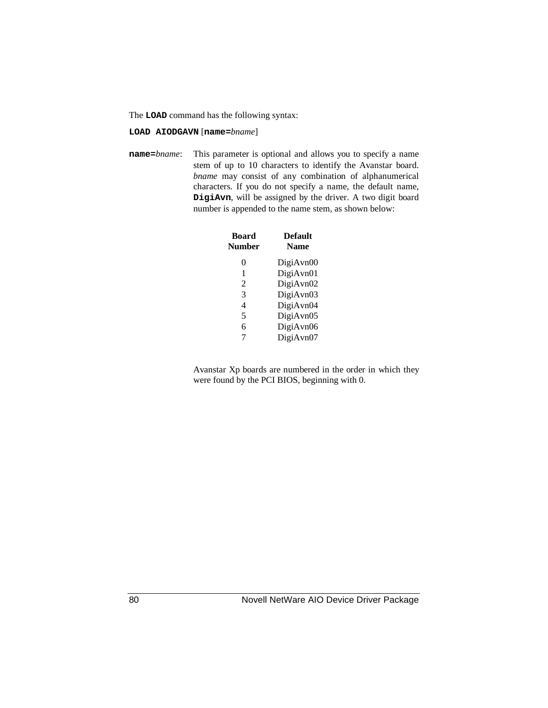The **LOAD** command has the following syntax:

**LOAD AIODGAVN** [**name=***bname*]

**name=***bname*: This parameter is optional and allows you to specify a name stem of up to 10 characters to identify the Avanstar board. *bname* may consist of any combination of alphanumerical characters. If you do not specify a name, the default name, **DigiAvn**, will be assigned by the driver. A two digit board number is appended to the name stem, as shown below:

| <b>Board</b><br><b>Number</b> | <b>Default</b><br><b>Name</b> |
|-------------------------------|-------------------------------|
| 0                             | DigiAvn00                     |
| 1                             | DigiAvn01                     |
| 2                             | DigiAvn02                     |
| 3                             | DigiAvn03                     |
| 4                             | DigiAvn04                     |
| 5                             | DigiAvn05                     |
| 6                             | DigiAvn06                     |
| 7                             | DigiAvn07                     |

Avanstar Xp boards are numbered in the order in which they were found by the PCI BIOS, beginning with 0.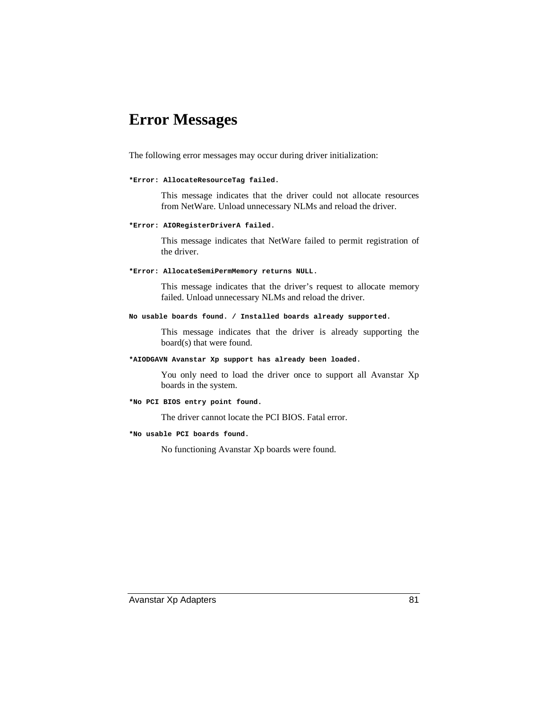# **Error Messages**

The following error messages may occur during driver initialization:

#### **\*Error: AllocateResourceTag failed.**

This message indicates that the driver could not allocate resources from NetWare. Unload unnecessary NLMs and reload the driver.

#### **\*Error: AIORegisterDriverA failed.**

This message indicates that NetWare failed to permit registration of the driver.

#### **\*Error: AllocateSemiPermMemory returns NULL.**

This message indicates that the driver's request to allocate memory failed. Unload unnecessary NLMs and reload the driver.

#### **No usable boards found. / Installed boards already supported.**

This message indicates that the driver is already supporting the board(s) that were found.

#### **\*AIODGAVN Avanstar Xp support has already been loaded.**

You only need to load the driver once to support all Avanstar Xp boards in the system.

#### **\*No PCI BIOS entry point found.**

The driver cannot locate the PCI BIOS. Fatal error.

#### **\*No usable PCI boards found.**

No functioning Avanstar Xp boards were found.